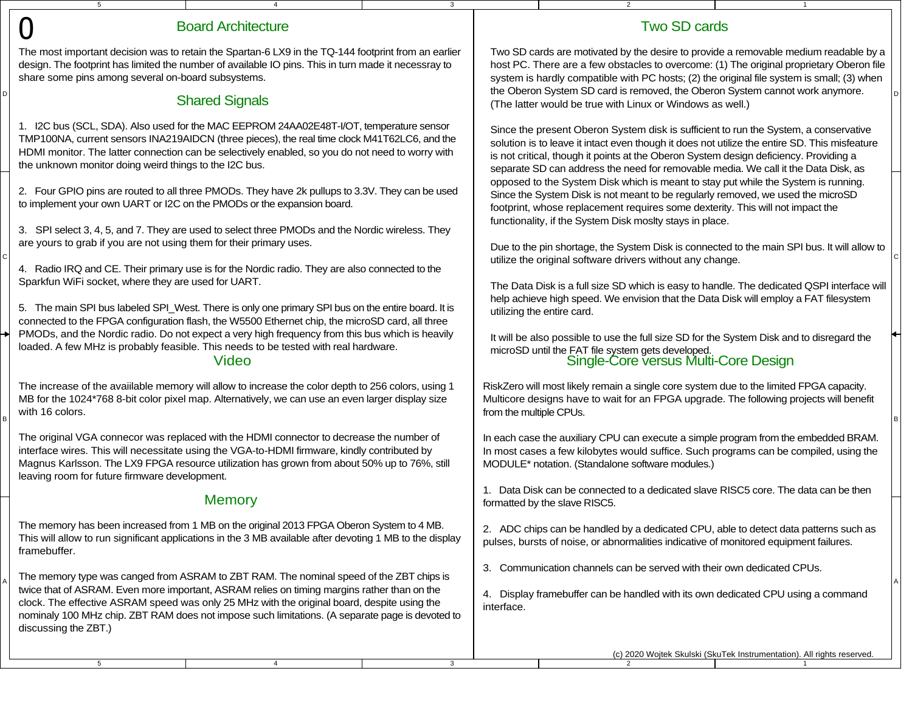|                                                                                                                                                                                                                                                                                                                                                       | $5\overline{5}$                                                        |                                                                                                                                                                                                                                                                                                                                                                                          | 3                                                                                                                                                                        |                                                                                                                                                                                                                                                                                                                                                                | $\overline{2}$                                                                                                                                                                                                                                                                                                                                                       |                                                                        |  |  |
|-------------------------------------------------------------------------------------------------------------------------------------------------------------------------------------------------------------------------------------------------------------------------------------------------------------------------------------------------------|------------------------------------------------------------------------|------------------------------------------------------------------------------------------------------------------------------------------------------------------------------------------------------------------------------------------------------------------------------------------------------------------------------------------------------------------------------------------|--------------------------------------------------------------------------------------------------------------------------------------------------------------------------|----------------------------------------------------------------------------------------------------------------------------------------------------------------------------------------------------------------------------------------------------------------------------------------------------------------------------------------------------------------|----------------------------------------------------------------------------------------------------------------------------------------------------------------------------------------------------------------------------------------------------------------------------------------------------------------------------------------------------------------------|------------------------------------------------------------------------|--|--|
|                                                                                                                                                                                                                                                                                                                                                       |                                                                        | <b>Board Architecture</b>                                                                                                                                                                                                                                                                                                                                                                |                                                                                                                                                                          |                                                                                                                                                                                                                                                                                                                                                                | <b>Two SD cards</b>                                                                                                                                                                                                                                                                                                                                                  |                                                                        |  |  |
|                                                                                                                                                                                                                                                                                                                                                       | share some pins among several on-board subsystems.                     | The most important decision was to retain the Spartan-6 LX9 in the TQ-144 footprint from an earlier<br>design. The footprint has limited the number of available IO pins. This in turn made it necessray to                                                                                                                                                                              |                                                                                                                                                                          | Two SD cards are motivated by the desire to provide a removable medium readable by a<br>host PC. There are a few obstacles to overcome: (1) The original proprietary Oberon file<br>system is hardly compatible with PC hosts; (2) the original file system is small; (3) when<br>the Oberon System SD card is removed, the Oberon System cannot work anymore. |                                                                                                                                                                                                                                                                                                                                                                      |                                                                        |  |  |
|                                                                                                                                                                                                                                                                                                                                                       |                                                                        | <b>Shared Signals</b>                                                                                                                                                                                                                                                                                                                                                                    |                                                                                                                                                                          |                                                                                                                                                                                                                                                                                                                                                                | (The latter would be true with Linux or Windows as well.)                                                                                                                                                                                                                                                                                                            |                                                                        |  |  |
| 1. I2C bus (SCL, SDA). Also used for the MAC EEPROM 24AA02E48T-I/OT, temperature sensor<br>TMP100NA, current sensors INA219AIDCN (three pieces), the real time clock M41T62LC6, and the<br>HDMI monitor. The latter connection can be selectively enabled, so you do not need to worry with<br>the unknown monitor doing weird things to the I2C bus. |                                                                        |                                                                                                                                                                                                                                                                                                                                                                                          |                                                                                                                                                                          |                                                                                                                                                                                                                                                                                                                                                                | Since the present Oberon System disk is sufficient to run the System, a conservative<br>solution is to leave it intact even though it does not utilize the entire SD. This misfeature<br>is not critical, though it points at the Oberon System design deficiency. Providing a<br>separate SD can address the need for removable media. We call it the Data Disk, as |                                                                        |  |  |
|                                                                                                                                                                                                                                                                                                                                                       | to implement your own UART or I2C on the PMODs or the expansion board. | 2. Four GPIO pins are routed to all three PMODs. They have 2k pullups to 3.3V. They can be used                                                                                                                                                                                                                                                                                          |                                                                                                                                                                          |                                                                                                                                                                                                                                                                                                                                                                | opposed to the System Disk which is meant to stay put while the System is running.<br>Since the System Disk is not meant to be regularly removed, we used the microSD<br>footprint, whose replacement requires some dexterity. This will not impact the<br>functionality, if the System Disk moslty stays in place.                                                  |                                                                        |  |  |
|                                                                                                                                                                                                                                                                                                                                                       | are yours to grab if you are not using them for their primary uses.    | 3. SPI select 3, 4, 5, and 7. They are used to select three PMODs and the Nordic wireless. They<br>4. Radio IRQ and CE. Their primary use is for the Nordic radio. They are also connected to the                                                                                                                                                                                        |                                                                                                                                                                          |                                                                                                                                                                                                                                                                                                                                                                | Due to the pin shortage, the System Disk is connected to the main SPI bus. It will allow to<br>utilize the original software drivers without any change.                                                                                                                                                                                                             |                                                                        |  |  |
|                                                                                                                                                                                                                                                                                                                                                       | Sparkfun WiFi socket, where they are used for UART.                    | 5. The main SPI bus labeled SPI_West. There is only one primary SPI bus on the entire board. It is<br>connected to the FPGA configuration flash, the W5500 Ethernet chip, the microSD card, all three                                                                                                                                                                                    |                                                                                                                                                                          |                                                                                                                                                                                                                                                                                                                                                                | The Data Disk is a full size SD which is easy to handle. The dedicated QSPI interface will<br>help achieve high speed. We envision that the Data Disk will employ a FAT filesystem<br>utilizing the entire card.                                                                                                                                                     |                                                                        |  |  |
|                                                                                                                                                                                                                                                                                                                                                       |                                                                        | PMODs, and the Nordic radio. Do not expect a very high frequency from this bus which is heavily<br>loaded. A few MHz is probably feasible. This needs to be tested with real hardware.<br>Video                                                                                                                                                                                          |                                                                                                                                                                          |                                                                                                                                                                                                                                                                                                                                                                | It will be also possible to use the full size SD for the System Disk and to disregard the<br>microSD until the FAT file system gets developed.<br>Single-Core versus Multi-Core Design                                                                                                                                                                               |                                                                        |  |  |
|                                                                                                                                                                                                                                                                                                                                                       | with 16 colors.                                                        | The increase of the available memory will allow to increase the color depth to 256 colors, using 1<br>MB for the 1024*768 8-bit color pixel map. Alternatively, we can use an even larger display size                                                                                                                                                                                   |                                                                                                                                                                          | from the multiple CPUs.                                                                                                                                                                                                                                                                                                                                        | RiskZero will most likely remain a single core system due to the limited FPGA capacity.<br>Multicore designs have to wait for an FPGA upgrade. The following projects will benefit                                                                                                                                                                                   |                                                                        |  |  |
|                                                                                                                                                                                                                                                                                                                                                       | leaving room for future firmware development.                          | The original VGA connecor was replaced with the HDMI connector to decrease the number of<br>interface wires. This will necessitate using the VGA-to-HDMI firmware, kindly contributed by<br>Magnus Karlsson. The LX9 FPGA resource utilization has grown from about 50% up to 76%, still                                                                                                 |                                                                                                                                                                          |                                                                                                                                                                                                                                                                                                                                                                | In each case the auxiliary CPU can execute a simple program from the embedded BRAM.<br>In most cases a few kilobytes would suffice. Such programs can be compiled, using the<br>MODULE* notation. (Standalone software modules.)                                                                                                                                     |                                                                        |  |  |
|                                                                                                                                                                                                                                                                                                                                                       |                                                                        | <b>Memory</b>                                                                                                                                                                                                                                                                                                                                                                            |                                                                                                                                                                          |                                                                                                                                                                                                                                                                                                                                                                | 1. Data Disk can be connected to a dedicated slave RISC5 core. The data can be then<br>formatted by the slave RISC5.                                                                                                                                                                                                                                                 |                                                                        |  |  |
|                                                                                                                                                                                                                                                                                                                                                       | framebuffer.                                                           | The memory has been increased from 1 MB on the original 2013 FPGA Oberon System to 4 MB.<br>This will allow to run significant applications in the 3 MB available after devoting 1 MB to the display                                                                                                                                                                                     |                                                                                                                                                                          |                                                                                                                                                                                                                                                                                                                                                                | 2. ADC chips can be handled by a dedicated CPU, able to detect data patterns such as<br>pulses, bursts of noise, or abnormalities indicative of monitored equipment failures.                                                                                                                                                                                        |                                                                        |  |  |
|                                                                                                                                                                                                                                                                                                                                                       | discussing the ZBT.)                                                   | The memory type was canged from ASRAM to ZBT RAM. The nominal speed of the ZBT chips is<br>twice that of ASRAM. Even more important, ASRAM relies on timing margins rather than on the<br>clock. The effective ASRAM speed was only 25 MHz with the original board, despite using the<br>nominaly 100 MHz chip. ZBT RAM does not impose such limitations. (A separate page is devoted to | 3. Communication channels can be served with their own dedicated CPUs.<br>4. Display framebuffer can be handled with its own dedicated CPU using a command<br>interface. |                                                                                                                                                                                                                                                                                                                                                                |                                                                                                                                                                                                                                                                                                                                                                      |                                                                        |  |  |
|                                                                                                                                                                                                                                                                                                                                                       | $5\overline{5}$                                                        | $\overline{4}$                                                                                                                                                                                                                                                                                                                                                                           | 3                                                                                                                                                                        |                                                                                                                                                                                                                                                                                                                                                                |                                                                                                                                                                                                                                                                                                                                                                      | (c) 2020 Wojtek Skulski (SkuTek Instrumentation). All rights reserved. |  |  |
|                                                                                                                                                                                                                                                                                                                                                       |                                                                        |                                                                                                                                                                                                                                                                                                                                                                                          |                                                                                                                                                                          |                                                                                                                                                                                                                                                                                                                                                                |                                                                                                                                                                                                                                                                                                                                                                      |                                                                        |  |  |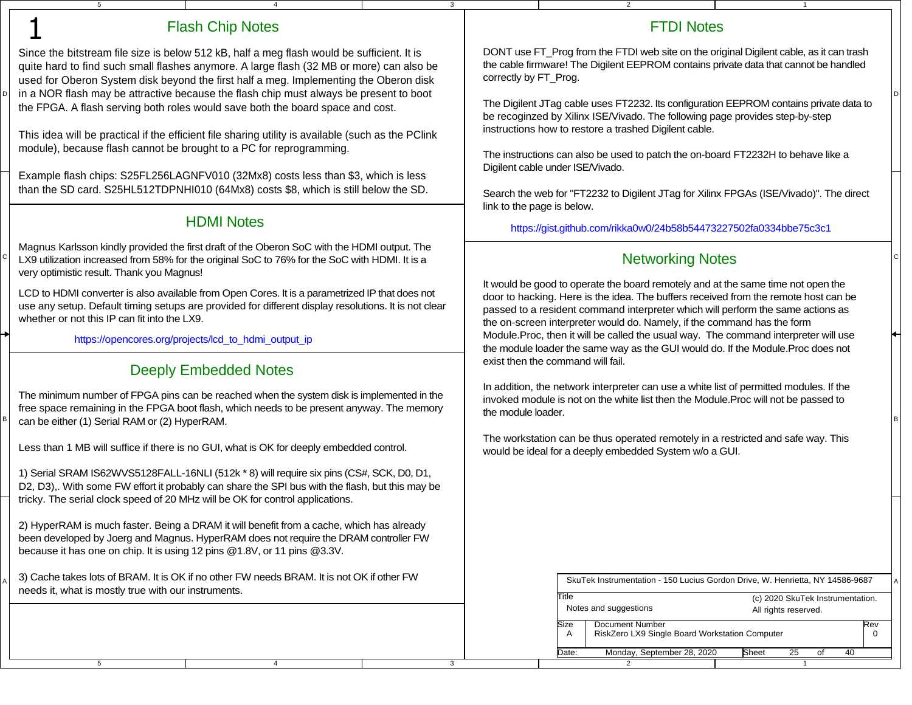| 5                                                                                                                                                                         |                                                                                                                                                                                                                                                                                                                                                                                                                                                             | 3 |                                                                                                                                                                                                                                                                                                                                       | 2                                                                                                                                                                                                                                                                         | $\overline{1}$                                                                                                    |  |
|---------------------------------------------------------------------------------------------------------------------------------------------------------------------------|-------------------------------------------------------------------------------------------------------------------------------------------------------------------------------------------------------------------------------------------------------------------------------------------------------------------------------------------------------------------------------------------------------------------------------------------------------------|---|---------------------------------------------------------------------------------------------------------------------------------------------------------------------------------------------------------------------------------------------------------------------------------------------------------------------------------------|---------------------------------------------------------------------------------------------------------------------------------------------------------------------------------------------------------------------------------------------------------------------------|-------------------------------------------------------------------------------------------------------------------|--|
|                                                                                                                                                                           | <b>Flash Chip Notes</b>                                                                                                                                                                                                                                                                                                                                                                                                                                     |   |                                                                                                                                                                                                                                                                                                                                       | <b>FTDI Notes</b>                                                                                                                                                                                                                                                         |                                                                                                                   |  |
|                                                                                                                                                                           | Since the bitstream file size is below 512 kB, half a meg flash would be sufficient. It is<br>quite hard to find such small flashes anymore. A large flash (32 MB or more) can also be<br>used for Oberon System disk beyond the first half a meg. Implementing the Oberon disk<br>in a NOR flash may be attractive because the flash chip must always be present to boot<br>the FPGA. A flash serving both roles would save both the board space and cost. |   | correctly by FT_Prog.                                                                                                                                                                                                                                                                                                                 | DONT use FT_Prog from the FTDI web site on the original Digilent cable, as it can trash<br>the cable firmware! The Digilent EEPROM contains private data that cannot be handled<br>The Digilent JTag cable uses FT2232. Its configuration EEPROM contains private data to |                                                                                                                   |  |
| This idea will be practical if the efficient file sharing utility is available (such as the PClink<br>module), because flash cannot be brought to a PC for reprogramming. |                                                                                                                                                                                                                                                                                                                                                                                                                                                             |   | be recoginzed by Xilinx ISE/Vivado. The following page provides step-by-step<br>instructions how to restore a trashed Digilent cable.<br>The instructions can also be used to patch the on-board FT2232H to behave like a                                                                                                             |                                                                                                                                                                                                                                                                           |                                                                                                                   |  |
|                                                                                                                                                                           | Example flash chips: S25FL256LAGNFV010 (32Mx8) costs less than \$3, which is less<br>than the SD card. S25HL512TDPNHI010 (64Mx8) costs \$8, which is still below the SD.                                                                                                                                                                                                                                                                                    |   | link to the page is below.                                                                                                                                                                                                                                                                                                            | Digilent cable under ISE/Vivado.<br>Search the web for "FT2232 to Digilent JTag for Xilinx FPGAs (ISE/Vivado)". The direct                                                                                                                                                |                                                                                                                   |  |
|                                                                                                                                                                           | <b>HDMI Notes</b>                                                                                                                                                                                                                                                                                                                                                                                                                                           |   |                                                                                                                                                                                                                                                                                                                                       | https://gist.github.com/rikka0w0/24b58b54473227502fa0334bbe75c3c1                                                                                                                                                                                                         |                                                                                                                   |  |
| very optimistic result. Thank you Magnus!                                                                                                                                 | Magnus Karlsson kindly provided the first draft of the Oberon SoC with the HDMI output. The<br>LX9 utilization increased from 58% for the original SoC to 76% for the SoC with HDMI. It is a                                                                                                                                                                                                                                                                |   |                                                                                                                                                                                                                                                                                                                                       | <b>Networking Notes</b>                                                                                                                                                                                                                                                   |                                                                                                                   |  |
| whether or not this IP can fit into the LX9.                                                                                                                              | LCD to HDMI converter is also available from Open Cores. It is a parametrized IP that does not<br>use any setup. Default timing setups are provided for different display resolutions. It is not clear                                                                                                                                                                                                                                                      |   | It would be good to operate the board remotely and at the same time not open the<br>door to hacking. Here is the idea. The buffers received from the remote host can be<br>passed to a resident command interpreter which will perform the same actions as<br>the on-screen interpreter would do. Namely, if the command has the form |                                                                                                                                                                                                                                                                           |                                                                                                                   |  |
| https://opencores.org/projects/lcd_to_hdmi_output_ip                                                                                                                      |                                                                                                                                                                                                                                                                                                                                                                                                                                                             |   | Module.Proc, then it will be called the usual way. The command interpreter will use<br>the module loader the same way as the GUI would do. If the Module. Proc does not<br>exist then the command will fail.                                                                                                                          |                                                                                                                                                                                                                                                                           |                                                                                                                   |  |
| can be either (1) Serial RAM or (2) HyperRAM.                                                                                                                             | <b>Deeply Embedded Notes</b><br>The minimum number of FPGA pins can be reached when the system disk is implemented in the<br>free space remaining in the FPGA boot flash, which needs to be present anyway. The memory                                                                                                                                                                                                                                      |   | the module loader.                                                                                                                                                                                                                                                                                                                    | In addition, the network interpreter can use a white list of permitted modules. If the<br>invoked module is not on the white list then the Module. Proc will not be passed to                                                                                             |                                                                                                                   |  |
|                                                                                                                                                                           | Less than 1 MB will suffice if there is no GUI, what is OK for deeply embedded control.                                                                                                                                                                                                                                                                                                                                                                     |   |                                                                                                                                                                                                                                                                                                                                       | The workstation can be thus operated remotely in a restricted and safe way. This<br>would be ideal for a deeply embedded System w/o a GUI.                                                                                                                                |                                                                                                                   |  |
| tricky. The serial clock speed of 20 MHz will be OK for control applications.                                                                                             | 1) Serial SRAM IS62WVS5128FALL-16NLI (512k * 8) will require six pins (CS#, SCK, D0, D1,<br>D2, D3),. With some FW effort it probably can share the SPI bus with the flash, but this may be                                                                                                                                                                                                                                                                 |   |                                                                                                                                                                                                                                                                                                                                       |                                                                                                                                                                                                                                                                           |                                                                                                                   |  |
| because it has one on chip. It is using 12 pins @1.8V, or 11 pins @3.3V.                                                                                                  | 2) HyperRAM is much faster. Being a DRAM it will benefit from a cache, which has already<br>been developed by Joerg and Magnus. HyperRAM does not require the DRAM controller FW                                                                                                                                                                                                                                                                            |   |                                                                                                                                                                                                                                                                                                                                       |                                                                                                                                                                                                                                                                           |                                                                                                                   |  |
| needs it, what is mostly true with our instruments.                                                                                                                       | 3) Cache takes lots of BRAM. It is OK if no other FW needs BRAM. It is not OK if other FW                                                                                                                                                                                                                                                                                                                                                                   |   |                                                                                                                                                                                                                                                                                                                                       | Title                                                                                                                                                                                                                                                                     | SkuTek Instrumentation - 150 Lucius Gordon Drive, W. Henrietta, NY 14586-9687<br>(c) 2020 SkuTek Instrumentation. |  |
|                                                                                                                                                                           |                                                                                                                                                                                                                                                                                                                                                                                                                                                             |   |                                                                                                                                                                                                                                                                                                                                       | Notes and suggestions<br>Document Number<br>Size<br>RiskZero LX9 Single Board Workstation Computer<br>A                                                                                                                                                                   | All rights reserved.<br>Rev<br>$\mathbf 0$                                                                        |  |
|                                                                                                                                                                           |                                                                                                                                                                                                                                                                                                                                                                                                                                                             |   |                                                                                                                                                                                                                                                                                                                                       | Monday, September 28, 2020<br>Date:                                                                                                                                                                                                                                       | 25<br>40<br>Sheet<br>of                                                                                           |  |
| 5                                                                                                                                                                         | $\overline{4}$                                                                                                                                                                                                                                                                                                                                                                                                                                              | 3 |                                                                                                                                                                                                                                                                                                                                       |                                                                                                                                                                                                                                                                           | -1                                                                                                                |  |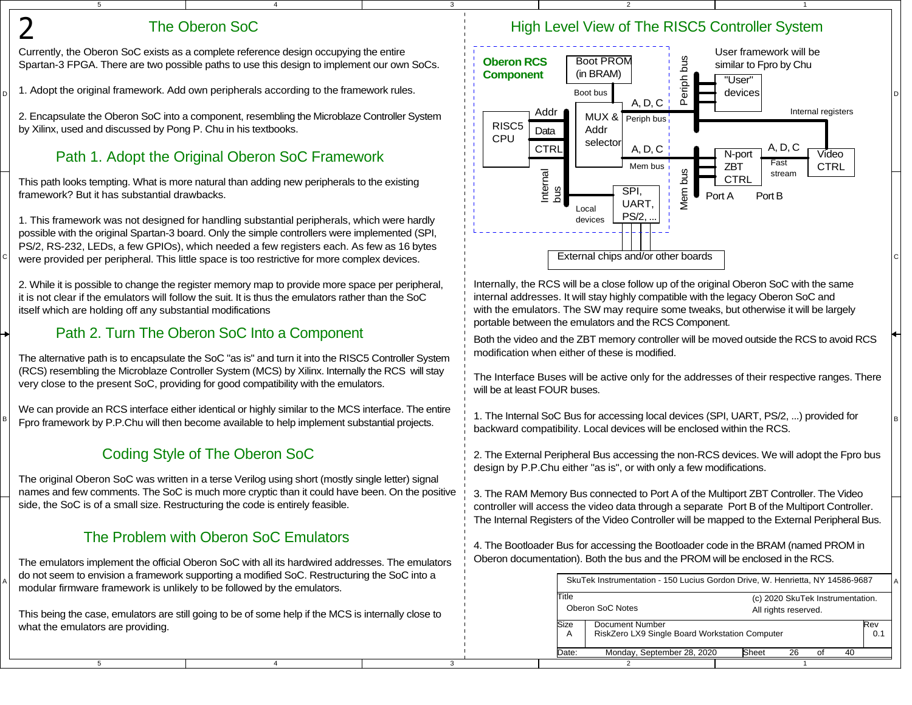## The Oberon SoC

5

D

2

C

B

A

5

Currently, the Oberon SoC exists as a complete reference design occupying the entire Spartan-3 FPGA. There are two possible paths to use this design to implement our own SoCs.

4

3

3

2. Encapsulate the Oberon SoC into a component, resembling the Microblaze Controller Systemby Xilinx, used and discussed by Pong P. Chu in his textbooks.

# Path 1. Adopt the Original Oberon SoC Framework

This path looks tempting. What is more natural than adding new peripherals to the existingframework? But it has substantial drawbacks.

1. This framework was not designed for handling substantial peripherals, which were hardly possible with the original Spartan-3 board. Only the simple controllers were implemented (SPI,PS/2, RS-232, LEDs, a few GPIOs), which needed a few registers each. As few as 16 bytes

2. While it is possible to change the register memory map to provide more space per peripheral,it is not clear if the emulators will follow the suit. It is thus the emulators rather than the SoCitself which are holding off any substantial modifications

# Path 2. Turn The Oberon SoC Into a Component

The alternative path is to encapsulate the SoC "as is" and turn it into the RISC5 Controller System (RCS) resembling the Microblaze Controller System (MCS) by Xilinx. Internally the RCS will stayvery close to the present SoC, providing for good compatibility with the emulators.

B Fpro framework by P.P.Chu will then become available to help implement substantial projects.<br>Because the substantial productivity is and produced within the production of the substantial production of the substantial pro We can provide an RCS interface either identical or highly similar to the MCS interface. The entire

# Coding Style of The Oberon SoC

The original Oberon SoC was written in a terse Verilog using short (mostly single letter) signalnames and few comments. The SoC is much more cryptic than it could have been. On the positiveside, the SoC is of a small size. Restructuring the code is entirely feasible.

# The Problem with Oberon SoC Emulators

A modular firmware framework is unlikely to be followed by the emulators. The emulators implement the official Oberon SoC with all its hardwired addresses. The emulatorsdo not seem to envision a framework supporting a modified SoC. Restructuring the SoC into a

This being the case, emulators are still going to be of some help if the MCS is internally close towhat the emulators are providing.

4

## High Level View of The RISC5 Controller System

1

2



Internally, the RCS will be a close follow up of the original Oberon SoC with the sameinternal addresses. It will stay highly compatible with the legacy Oberon SoC and with the emulators. The SW may require some tweaks, but otherwise it will be largelyportable between the emulators and the RCS Component.

Both the video and the ZBT memory controller will be moved outside the RCS to avoid RCSmodification when either of these is modified.

The Interface Buses will be active only for the addresses of their respective ranges. Therewill be at least FOUR buses.

1. The Internal SoC Bus for accessing local devices (SPI, UART, PS/2, ...) provided forbackward compatibility. Local devices will be enclosed within the RCS.

2. The External Peripheral Bus accessing the non-RCS devices. We will adopt the Fpro busdesign by P.P.Chu either "as is", or with only a few modifications.

3. The RAM Memory Bus connected to Port A of the Multiport ZBT Controller. The Video controller will access the video data through a separate Port B of the Multiport Controller.The Internal Registers of the Video Controller will be mapped to the External Peripheral Bus.

4. The Bootloader Bus for accessing the Bootloader code in the BRAM (named PROM inOberon documentation). Both the bus and the PROM will be enclosed in the RCS.

|                                                                                                                    |  | SkuTek Instrumentation - 150 Lucius Gordon Drive, W. Henrietta, NY 14586-9687 |  |
|--------------------------------------------------------------------------------------------------------------------|--|-------------------------------------------------------------------------------|--|
| <b>Title</b><br>Oberon SoC Notes<br>Size<br>Document Number<br>RiskZero LX9 Single Board Workstation Computer<br>A |  | (c) 2020 SkuTek Instrumentation.<br>All rights reserved.                      |  |
|                                                                                                                    |  | Rev<br>0.1                                                                    |  |
| Sheet<br>Monday, September 28, 2020<br>26<br>Date:<br>40<br>Ωf                                                     |  |                                                                               |  |
|                                                                                                                    |  |                                                                               |  |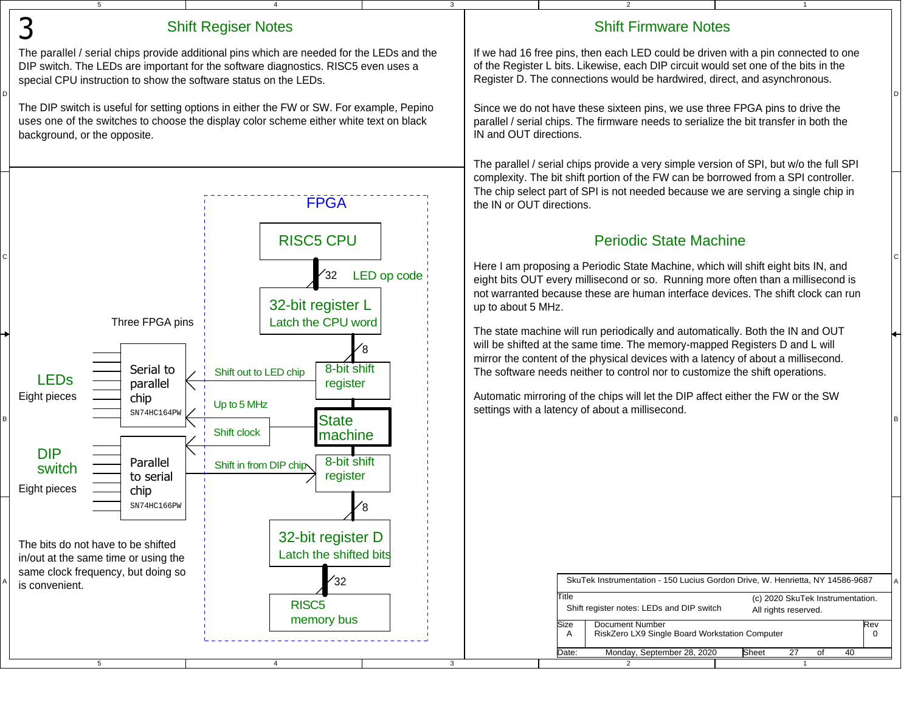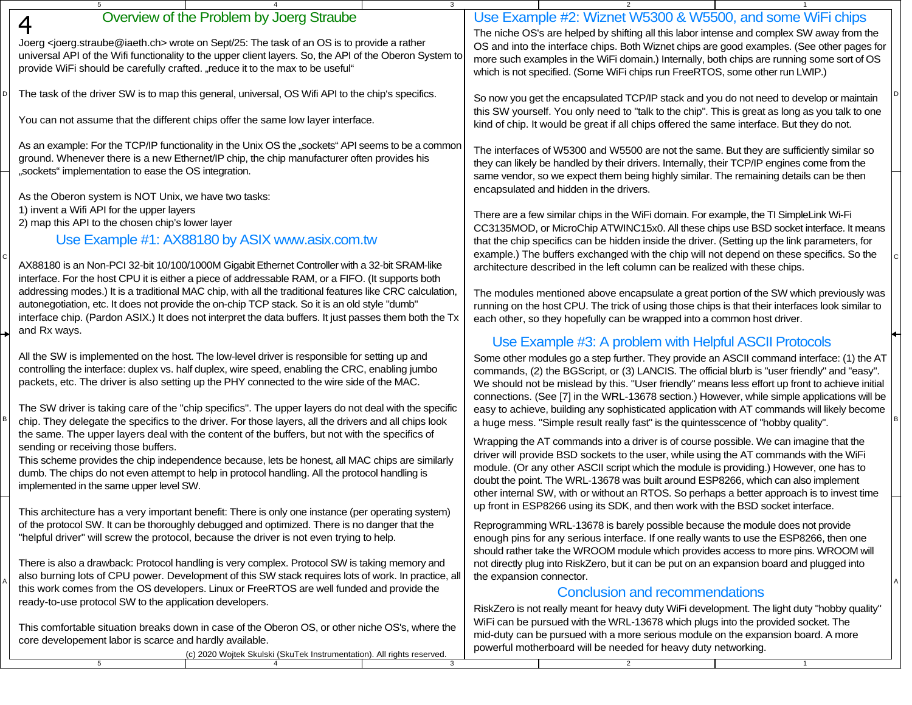| Overview of the Problem by Joerg Straube<br>$\boldsymbol{4}$                                                                                                                                                                                                                                                     | Use Example #2: Wiznet W5300 & W5500, and some WiFi chips                                                                                                                                                                                                                                                                                                             |
|------------------------------------------------------------------------------------------------------------------------------------------------------------------------------------------------------------------------------------------------------------------------------------------------------------------|-----------------------------------------------------------------------------------------------------------------------------------------------------------------------------------------------------------------------------------------------------------------------------------------------------------------------------------------------------------------------|
| Joerg <joerg.straube@iaeth.ch> wrote on Sept/25: The task of an OS is to provide a rather<br/>universal API of the Wifi functionality to the upper client layers. So, the API of the Oberon System to<br/>provide WiFi should be carefully crafted. "reduce it to the max to be useful"</joerg.straube@iaeth.ch> | The niche OS's are helped by shifting all this labor intense and complex SW away from the<br>OS and into the interface chips. Both Wiznet chips are good examples. (See other pages for<br>more such examples in the WiFi domain.) Internally, both chips are running some sort of OS<br>which is not specified. (Some WiFi chips run FreeRTOS, some other run LWIP.) |
| The task of the driver SW is to map this general, universal, OS Wifi API to the chip's specifics.                                                                                                                                                                                                                | So now you get the encapsulated TCP/IP stack and you do not need to develop or maintain<br>this SW yourself. You only need to "talk to the chip". This is great as long as you talk to one                                                                                                                                                                            |
| You can not assume that the different chips offer the same low layer interface.                                                                                                                                                                                                                                  | kind of chip. It would be great if all chips offered the same interface. But they do not.                                                                                                                                                                                                                                                                             |
| As an example: For the TCP/IP functionality in the Unix OS the "sockets" API seems to be a common                                                                                                                                                                                                                | The interfaces of W5300 and W5500 are not the same. But they are sufficiently similar so                                                                                                                                                                                                                                                                              |
| ground. Whenever there is a new Ethernet/IP chip, the chip manufacturer often provides his<br>"sockets" implementation to ease the OS integration.                                                                                                                                                               | they can likely be handled by their drivers. Internally, their TCP/IP engines come from the                                                                                                                                                                                                                                                                           |
| As the Oberon system is NOT Unix, we have two tasks:                                                                                                                                                                                                                                                             | same vendor, so we expect them being highly similar. The remaining details can be then<br>encapsulated and hidden in the drivers.                                                                                                                                                                                                                                     |
| 1) invent a Wifi API for the upper layers                                                                                                                                                                                                                                                                        | There are a few similar chips in the WiFi domain. For example, the TI SimpleLink Wi-Fi                                                                                                                                                                                                                                                                                |
| 2) map this API to the chosen chip's lower layer                                                                                                                                                                                                                                                                 | CC3135MOD, or MicroChip ATWINC15x0. All these chips use BSD socket interface. It means                                                                                                                                                                                                                                                                                |
| Use Example #1: AX88180 by ASIX www.asix.com.tw                                                                                                                                                                                                                                                                  | that the chip specifics can be hidden inside the driver. (Setting up the link parameters, for<br>example.) The buffers exchanged with the chip will not depend on these specifics. So the                                                                                                                                                                             |
| AX88180 is an Non-PCI 32-bit 10/100/1000M Gigabit Ethernet Controller with a 32-bit SRAM-like                                                                                                                                                                                                                    | architecture described in the left column can be realized with these chips.                                                                                                                                                                                                                                                                                           |
| interface. For the host CPU it is either a piece of addressable RAM, or a FIFO. (It supports both<br>addressing modes.) It is a traditional MAC chip, with all the traditional features like CRC calculation,                                                                                                    |                                                                                                                                                                                                                                                                                                                                                                       |
| autonegotiation, etc. It does not provide the on-chip TCP stack. So it is an old style "dumb"                                                                                                                                                                                                                    | The modules mentioned above encapsulate a great portion of the SW which previously was<br>running on the host CPU. The trick of using those chips is that their interfaces look similar to                                                                                                                                                                            |
| interface chip. (Pardon ASIX.) It does not interpret the data buffers. It just passes them both the Tx                                                                                                                                                                                                           | each other, so they hopefully can be wrapped into a common host driver.                                                                                                                                                                                                                                                                                               |
| and Rx ways.                                                                                                                                                                                                                                                                                                     | Use Example #3: A problem with Helpful ASCII Protocols                                                                                                                                                                                                                                                                                                                |
| All the SW is implemented on the host. The low-level driver is responsible for setting up and                                                                                                                                                                                                                    | Some other modules go a step further. They provide an ASCII command interface: (1) the AT                                                                                                                                                                                                                                                                             |
| controlling the interface: duplex vs. half duplex, wire speed, enabling the CRC, enabling jumbo<br>packets, etc. The driver is also setting up the PHY connected to the wire side of the MAC.                                                                                                                    | commands, (2) the BGScript, or (3) LANCIS. The official blurb is "user friendly" and "easy".                                                                                                                                                                                                                                                                          |
|                                                                                                                                                                                                                                                                                                                  | We should not be mislead by this. "User friendly" means less effort up front to achieve initial<br>connections. (See [7] in the WRL-13678 section.) However, while simple applications will be                                                                                                                                                                        |
| The SW driver is taking care of the "chip specifics". The upper layers do not deal with the specific                                                                                                                                                                                                             | easy to achieve, building any sophisticated application with AT commands will likely become                                                                                                                                                                                                                                                                           |
| chip. They delegate the specifics to the driver. For those layers, all the drivers and all chips look<br>the same. The upper layers deal with the content of the buffers, but not with the specifics of                                                                                                          | a huge mess. "Simple result really fast" is the quintesscence of "hobby quality".                                                                                                                                                                                                                                                                                     |
| sending or receiving those buffers.                                                                                                                                                                                                                                                                              | Wrapping the AT commands into a driver is of course possible. We can imagine that the<br>driver will provide BSD sockets to the user, while using the AT commands with the WiFi                                                                                                                                                                                       |
| This scheme provides the chip independence because, lets be honest, all MAC chips are similarly<br>dumb. The chips do not even attempt to help in protocol handling. All the protocol handling is                                                                                                                | module. (Or any other ASCII script which the module is providing.) However, one has to                                                                                                                                                                                                                                                                                |
| implemented in the same upper level SW.                                                                                                                                                                                                                                                                          | doubt the point. The WRL-13678 was built around ESP8266, which can also implement<br>other internal SW, with or without an RTOS. So perhaps a better approach is to invest time                                                                                                                                                                                       |
| This architecture has a very important benefit: There is only one instance (per operating system)                                                                                                                                                                                                                | up front in ESP8266 using its SDK, and then work with the BSD socket interface.                                                                                                                                                                                                                                                                                       |
| of the protocol SW. It can be thoroughly debugged and optimized. There is no danger that the                                                                                                                                                                                                                     | Reprogramming WRL-13678 is barely possible because the module does not provide                                                                                                                                                                                                                                                                                        |
| "helpful driver" will screw the protocol, because the driver is not even trying to help.                                                                                                                                                                                                                         | enough pins for any serious interface. If one really wants to use the ESP8266, then one                                                                                                                                                                                                                                                                               |
| There is also a drawback: Protocol handling is very complex. Protocol SW is taking memory and                                                                                                                                                                                                                    | should rather take the WROOM module which provides access to more pins. WROOM will<br>not directly plug into RiskZero, but it can be put on an expansion board and plugged into                                                                                                                                                                                       |
| also burning lots of CPU power. Development of this SW stack requires lots of work. In practice, all                                                                                                                                                                                                             | the expansion connector.                                                                                                                                                                                                                                                                                                                                              |
| this work comes from the OS developers. Linux or FreeRTOS are well funded and provide the<br>ready-to-use protocol SW to the application developers.                                                                                                                                                             | <b>Conclusion and recommendations</b>                                                                                                                                                                                                                                                                                                                                 |
|                                                                                                                                                                                                                                                                                                                  | RiskZero is not really meant for heavy duty WiFi development. The light duty "hobby quality"<br>WiFi can be pursued with the WRL-13678 which plugs into the provided socket. The                                                                                                                                                                                      |
| This comfortable situation breaks down in case of the Oberon OS, or other niche OS's, where the                                                                                                                                                                                                                  | mid-duty can be pursued with a more serious module on the expansion board. A more                                                                                                                                                                                                                                                                                     |
| core developement labor is scarce and hardly available.<br>(c) 2020 Wojtek Skulski (SkuTek Instrumentation). All rights reserved.                                                                                                                                                                                | powerful motherboard will be needed for heavy duty networking.                                                                                                                                                                                                                                                                                                        |
|                                                                                                                                                                                                                                                                                                                  |                                                                                                                                                                                                                                                                                                                                                                       |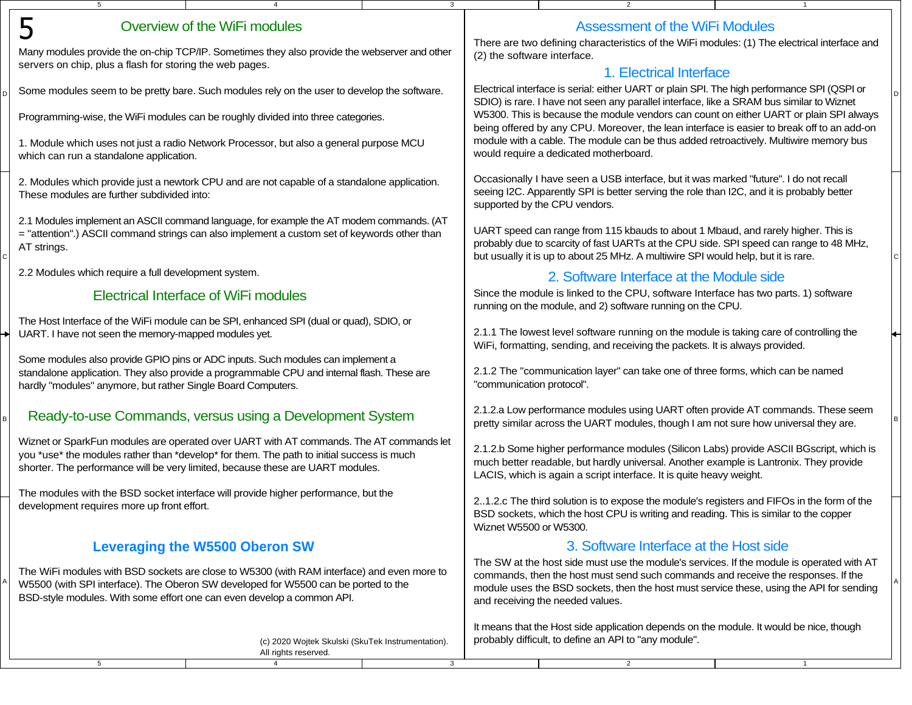| $5\overline{5}$                                              |                                                                                                                                                                                                                                                                        | 3            |                                                                                                                                                                                                                                                                                                                |                                        |  |
|--------------------------------------------------------------|------------------------------------------------------------------------------------------------------------------------------------------------------------------------------------------------------------------------------------------------------------------------|--------------|----------------------------------------------------------------------------------------------------------------------------------------------------------------------------------------------------------------------------------------------------------------------------------------------------------------|----------------------------------------|--|
| 5                                                            | Overview of the WiFi modules                                                                                                                                                                                                                                           |              |                                                                                                                                                                                                                                                                                                                | <b>Assessment of the WiFi Modules</b>  |  |
| servers on chip, plus a flash for storing the web pages.     | Many modules provide the on-chip TCP/IP. Sometimes they also provide the webserver and other                                                                                                                                                                           |              | There are two defining characteristics of the WiFi modules: (1) The electrical interface and<br>(2) the software interface.                                                                                                                                                                                    |                                        |  |
|                                                              | Some modules seem to be pretty bare. Such modules rely on the user to develop the software.                                                                                                                                                                            |              | 1. Electrical Interface<br>Electrical interface is serial: either UART or plain SPI. The high performance SPI (QSPI or                                                                                                                                                                                         |                                        |  |
|                                                              | Programming-wise, the WiFi modules can be roughly divided into three categories.                                                                                                                                                                                       |              | SDIO) is rare. I have not seen any parallel interface, like a SRAM bus similar to Wiznet<br>W5300. This is because the module vendors can count on either UART or plain SPI always<br>being offered by any CPU. Moreover, the lean interface is easier to break off to an add-on                               |                                        |  |
| which can run a standalone application.                      | 1. Module which uses not just a radio Network Processor, but also a general purpose MCU                                                                                                                                                                                |              | module with a cable. The module can be thus added retroactively. Multiwire memory bus<br>would require a dedicated motherboard.                                                                                                                                                                                |                                        |  |
| These modules are further subdivided into:                   | 2. Modules which provide just a newtork CPU and are not capable of a standalone application.                                                                                                                                                                           |              | Occasionally I have seen a USB interface, but it was marked "future". I do not recall<br>seeing I2C. Apparently SPI is better serving the role than I2C, and it is probably better<br>supported by the CPU vendors.                                                                                            |                                        |  |
| AT strings.                                                  | 2.1 Modules implement an ASCII command language, for example the AT modem commands. (AT<br>= "attention".) ASCII command strings can also implement a custom set of keywords other than                                                                                |              | UART speed can range from 115 kbauds to about 1 Mbaud, and rarely higher. This is<br>probably due to scarcity of fast UARTs at the CPU side. SPI speed can range to 48 MHz,<br>but usually it is up to about 25 MHz. A multiwire SPI would help, but it is rare.                                               |                                        |  |
| 2.2 Modules which require a full development system.         |                                                                                                                                                                                                                                                                        |              | 2. Software Interface at the Module side                                                                                                                                                                                                                                                                       |                                        |  |
|                                                              | <b>Electrical Interface of WiFi modules</b>                                                                                                                                                                                                                            |              | Since the module is linked to the CPU, software Interface has two parts. 1) software<br>running on the module, and 2) software running on the CPU.                                                                                                                                                             |                                        |  |
| UART. I have not seen the memory-mapped modules yet.         | The Host Interface of the WiFi module can be SPI, enhanced SPI (dual or quad), SDIO, or                                                                                                                                                                                |              | 2.1.1 The lowest level software running on the module is taking care of controlling the<br>WiFi, formatting, sending, and receiving the packets. It is always provided.                                                                                                                                        |                                        |  |
| hardly "modules" anymore, but rather Single Board Computers. | Some modules also provide GPIO pins or ADC inputs. Such modules can implement a<br>standalone application. They also provide a programmable CPU and internal flash. These are                                                                                          |              | 2.1.2 The "communication layer" can take one of three forms, which can be named<br>"communication protocol".                                                                                                                                                                                                   |                                        |  |
|                                                              | Ready-to-use Commands, versus using a Development System                                                                                                                                                                                                               |              | 2.1.2.a Low performance modules using UART often provide AT commands. These seem<br>pretty similar across the UART modules, though I am not sure how universal they are.                                                                                                                                       |                                        |  |
|                                                              | Wiznet or SparkFun modules are operated over UART with AT commands. The AT commands let<br>you *use* the modules rather than *develop* for them. The path to initial success is much<br>shorter. The performance will be very limited, because these are UART modules. |              | 2.1.2.b Some higher performance modules (Silicon Labs) provide ASCII BGscript, which is<br>much better readable, but hardly universal. Another example is Lantronix. They provide<br>LACIS, which is again a script interface. It is quite heavy weight.                                                       |                                        |  |
| development requires more up front effort.                   | The modules with the BSD socket interface will provide higher performance, but the                                                                                                                                                                                     |              | 21.2.c The third solution is to expose the module's registers and FIFOs in the form of the<br>BSD sockets, which the host CPU is writing and reading. This is similar to the copper<br>Wiznet W5500 or W5300.                                                                                                  |                                        |  |
|                                                              | <b>Leveraging the W5500 Oberon SW</b>                                                                                                                                                                                                                                  |              |                                                                                                                                                                                                                                                                                                                | 3. Software Interface at the Host side |  |
|                                                              | The WiFi modules with BSD sockets are close to W5300 (with RAM interface) and even more to<br>W5500 (with SPI interface). The Oberon SW developed for W5500 can be ported to the<br>BSD-style modules. With some effort one can even develop a common API.             |              | The SW at the host side must use the module's services. If the module is operated with AT<br>commands, then the host must send such commands and receive the responses. If the<br>module uses the BSD sockets, then the host must service these, using the API for sending<br>and receiving the needed values. |                                        |  |
|                                                              | (c) 2020 Wojtek Skulski (SkuTek Instrumentation).<br>All rights reserved.                                                                                                                                                                                              |              | It means that the Host side application depends on the module. It would be nice, though<br>probably difficult, to define an API to "any module".                                                                                                                                                               |                                        |  |
| 5                                                            | $\overline{4}$                                                                                                                                                                                                                                                         | $\mathbf{3}$ | $\overline{2}$                                                                                                                                                                                                                                                                                                 | $\mathbf{1}$                           |  |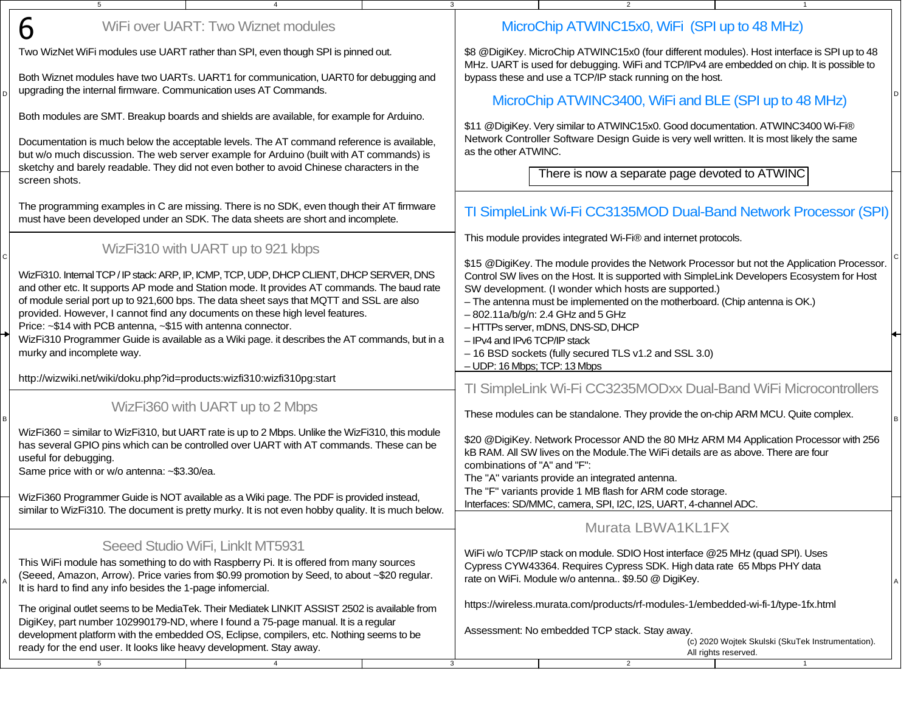| WiFi over UART: Two Wiznet modules<br>6                                                                                                                                                                                                                                             | MicroChip ATWINC15x0, WiFi (SPI up to 48 MHz)                                                                                                                                                                                                                                                                                      |  |
|-------------------------------------------------------------------------------------------------------------------------------------------------------------------------------------------------------------------------------------------------------------------------------------|------------------------------------------------------------------------------------------------------------------------------------------------------------------------------------------------------------------------------------------------------------------------------------------------------------------------------------|--|
| Two WizNet WiFi modules use UART rather than SPI, even though SPI is pinned out.                                                                                                                                                                                                    | \$8 @DigiKey. MicroChip ATWINC15x0 (four different modules). Host interface is SPI up to 48<br>MHz. UART is used for debugging. WiFi and TCP/IPv4 are embedded on chip. It is possible to                                                                                                                                          |  |
| Both Wiznet modules have two UARTs. UART1 for communication, UART0 for debugging and<br>upgrading the internal firmware. Communication uses AT Commands.                                                                                                                            | bypass these and use a TCP/IP stack running on the host.<br>MicroChip ATWINC3400, WiFi and BLE (SPI up to 48 MHz)                                                                                                                                                                                                                  |  |
| Both modules are SMT. Breakup boards and shields are available, for example for Arduino.                                                                                                                                                                                            | \$11 @DigiKey. Very similar to ATWINC15x0. Good documentation. ATWINC3400 Wi-Fi®                                                                                                                                                                                                                                                   |  |
| Documentation is much below the acceptable levels. The AT command reference is available,<br>but w/o much discussion. The web server example for Arduino (built with AT commands) is<br>sketchy and barely readable. They did not even bother to avoid Chinese characters in the    | Network Controller Software Design Guide is very well written. It is most likely the same<br>as the other ATWINC.                                                                                                                                                                                                                  |  |
| screen shots.                                                                                                                                                                                                                                                                       | There is now a separate page devoted to ATWINC                                                                                                                                                                                                                                                                                     |  |
| The programming examples in C are missing. There is no SDK, even though their AT firmware<br>must have been developed under an SDK. The data sheets are short and incomplete.                                                                                                       | TI SimpleLink Wi-Fi CC3135MOD Dual-Band Network Processor (SPI)                                                                                                                                                                                                                                                                    |  |
| WizFi310 with UART up to 921 kbps                                                                                                                                                                                                                                                   | This module provides integrated Wi-Fi® and internet protocols.                                                                                                                                                                                                                                                                     |  |
| WizFi310. Internal TCP / IP stack: ARP, IP, ICMP, TCP, UDP, DHCP CLIENT, DHCP SERVER, DNS<br>and other etc. It supports AP mode and Station mode. It provides AT commands. The baud rate<br>of module serial port up to 921,600 bps. The data sheet says that MQTT and SSL are also | \$15 @DigiKey. The module provides the Network Processor but not the Application Processor.<br>Control SW lives on the Host. It is supported with SimpleLink Developers Ecosystem for Host<br>SW development. (I wonder which hosts are supported.)<br>- The antenna must be implemented on the motherboard. (Chip antenna is OK.) |  |
| provided. However, I cannot find any documents on these high level features.<br>Price: ~\$14 with PCB antenna, ~\$15 with antenna connector.                                                                                                                                        | $-802.11a/b/g/n: 2.4 GHz and 5 GHz$<br>- HTTPs server, mDNS, DNS-SD, DHCP                                                                                                                                                                                                                                                          |  |
| WizFi310 Programmer Guide is available as a Wiki page. it describes the AT commands, but in a<br>murky and incomplete way.                                                                                                                                                          | - IPv4 and IPv6 TCP/IP stack<br>- 16 BSD sockets (fully secured TLS v1.2 and SSL 3.0)<br>- UDP: 16 Mbps; TCP: 13 Mbps                                                                                                                                                                                                              |  |
| http://wizwiki.net/wiki/doku.php?id=products:wizfi310:wizfi310pg:start                                                                                                                                                                                                              | TI SimpleLink Wi-Fi CC3235MODxx Dual-Band WiFi Microcontrollers                                                                                                                                                                                                                                                                    |  |
| WizFi360 with UART up to 2 Mbps                                                                                                                                                                                                                                                     | These modules can be standalone. They provide the on-chip ARM MCU. Quite complex.                                                                                                                                                                                                                                                  |  |
| WizFi360 = similar to WizFi310, but UART rate is up to 2 Mbps. Unlike the WizFi310, this module<br>has several GPIO pins which can be controlled over UART with AT commands. These can be<br>useful for debugging.<br>Same price with or w/o antenna: ~\$3.30/ea.                   | \$20 @DigiKey. Network Processor AND the 80 MHz ARM M4 Application Processor with 256<br>kB RAM. All SW lives on the Module. The WiFi details are as above. There are four<br>combinations of "A" and "F":<br>The "A" variants provide an integrated antenna.                                                                      |  |
| WizFi360 Programmer Guide is NOT available as a Wiki page. The PDF is provided instead,                                                                                                                                                                                             | The "F" variants provide 1 MB flash for ARM code storage.<br>Interfaces: SD/MMC, camera, SPI, I2C, I2S, UART, 4-channel ADC.                                                                                                                                                                                                       |  |
| similar to WizFi310. The document is pretty murky. It is not even hobby quality. It is much below.                                                                                                                                                                                  | Murata LBWA1KL1FX                                                                                                                                                                                                                                                                                                                  |  |
| Seeed Studio WiFi, Linklt MT5931<br>This WiFi module has something to do with Raspberry Pi. It is offered from many sources                                                                                                                                                         | WiFi w/o TCP/IP stack on module. SDIO Host interface @25 MHz (quad SPI). Uses                                                                                                                                                                                                                                                      |  |
| (Seeed, Amazon, Arrow). Price varies from \$0.99 promotion by Seed, to about ~\$20 regular.<br>It is hard to find any info besides the 1-page infomercial.                                                                                                                          | Cypress CYW43364. Requires Cypress SDK. High data rate 65 Mbps PHY data<br>rate on WiFi. Module w/o antenna \$9.50 @ DigiKey.                                                                                                                                                                                                      |  |
| The original outlet seems to be MediaTek. Their Mediatek LINKIT ASSIST 2502 is available from<br>DigiKey, part number 102990179-ND, where I found a 75-page manual. It is a regular                                                                                                 | https://wireless.murata.com/products/rf-modules-1/embedded-wi-fi-1/type-1fx.html                                                                                                                                                                                                                                                   |  |
| development platform with the embedded OS, Eclipse, compilers, etc. Nothing seems to be<br>ready for the end user. It looks like heavy development. Stay away.                                                                                                                      | Assessment: No embedded TCP stack. Stay away.<br>(c) 2020 Wojtek Skulski (SkuTek Instrumentation).<br>All rights reserved.                                                                                                                                                                                                         |  |
| 5 <sub>5</sub><br>$\overline{4}$                                                                                                                                                                                                                                                    | $\mathbf{3}$<br>$\overline{2}$<br>$\overline{1}$                                                                                                                                                                                                                                                                                   |  |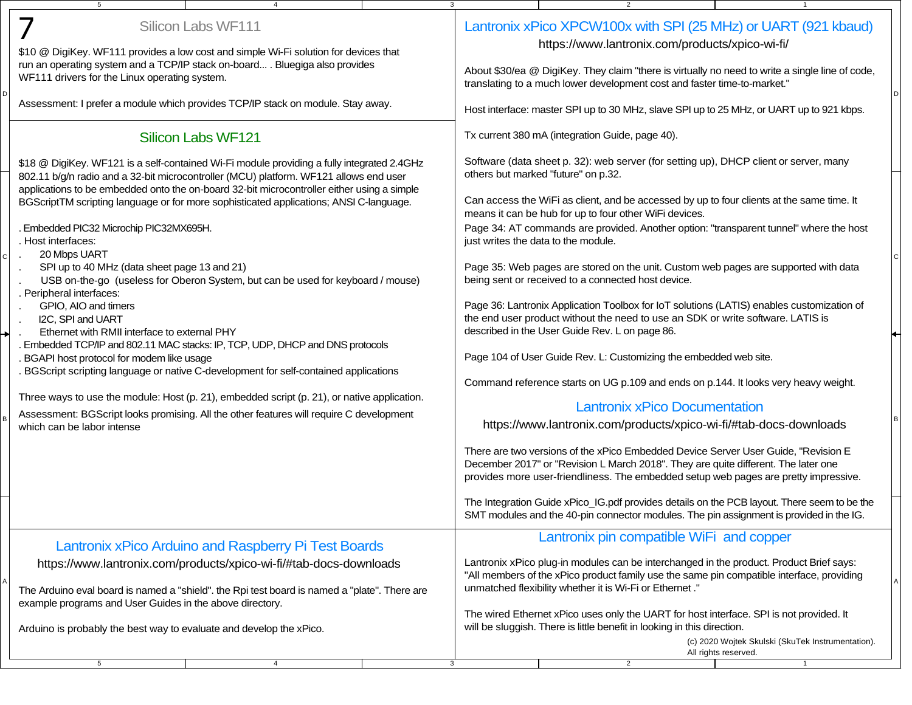| 5<br>$\overline{a}$                                                                                                                                                                 | 3<br>2                                                                                                                                                                               |  |  |  |
|-------------------------------------------------------------------------------------------------------------------------------------------------------------------------------------|--------------------------------------------------------------------------------------------------------------------------------------------------------------------------------------|--|--|--|
| Silicon Labs WF111                                                                                                                                                                  | Lantronix xPico XPCW100x with SPI (25 MHz) or UART (921 kbaud)                                                                                                                       |  |  |  |
| \$10 @ DigiKey. WF111 provides a low cost and simple Wi-Fi solution for devices that                                                                                                | https://www.lantronix.com/products/xpico-wi-fi/                                                                                                                                      |  |  |  |
| run an operating system and a TCP/IP stack on-board . Bluegiga also provides<br>WF111 drivers for the Linux operating system.                                                       | About \$30/ea @ DigiKey. They claim "there is virtually no need to write a single line of code,<br>translating to a much lower development cost and faster time-to-market."          |  |  |  |
| Assessment: I prefer a module which provides TCP/IP stack on module. Stay away.                                                                                                     | Host interface: master SPI up to 30 MHz, slave SPI up to 25 MHz, or UART up to 921 kbps.                                                                                             |  |  |  |
| Silicon Labs WF121                                                                                                                                                                  | Tx current 380 mA (integration Guide, page 40).                                                                                                                                      |  |  |  |
| \$18 @ DigiKey. WF121 is a self-contained Wi-Fi module providing a fully integrated 2.4GHz<br>802.11 b/g/n radio and a 32-bit microcontroller (MCU) platform. WF121 allows end user | Software (data sheet p. 32): web server (for setting up), DHCP client or server, many<br>others but marked "future" on p.32.                                                         |  |  |  |
| applications to be embedded onto the on-board 32-bit microcontroller either using a simple                                                                                          |                                                                                                                                                                                      |  |  |  |
| BGScriptTM scripting language or for more sophisticated applications; ANSI C-language.                                                                                              | Can access the WiFi as client, and be accessed by up to four clients at the same time. It<br>means it can be hub for up to four other WiFi devices.                                  |  |  |  |
| Embedded PIC32 Microchip PIC32MX695H.<br>. Host interfaces:                                                                                                                         | Page 34: AT commands are provided. Another option: "transparent tunnel" where the host<br>just writes the data to the module.                                                        |  |  |  |
| 20 Mbps UART                                                                                                                                                                        |                                                                                                                                                                                      |  |  |  |
| SPI up to 40 MHz (data sheet page 13 and 21)<br>USB on-the-go (useless for Oberon System, but can be used for keyboard / mouse)                                                     | Page 35: Web pages are stored on the unit. Custom web pages are supported with data<br>being sent or received to a connected host device.                                            |  |  |  |
| . Peripheral interfaces:<br>GPIO, AIO and timers                                                                                                                                    | Page 36: Lantronix Application Toolbox for IoT solutions (LATIS) enables customization of                                                                                            |  |  |  |
| I2C, SPI and UART                                                                                                                                                                   | the end user product without the need to use an SDK or write software. LATIS is                                                                                                      |  |  |  |
| Ethernet with RMII interface to external PHY                                                                                                                                        | described in the User Guide Rev. L on page 86.                                                                                                                                       |  |  |  |
| Embedded TCP/IP and 802.11 MAC stacks: IP, TCP, UDP, DHCP and DNS protocols                                                                                                         |                                                                                                                                                                                      |  |  |  |
| . BGAPI host protocol for modem like usage                                                                                                                                          | Page 104 of User Guide Rev. L: Customizing the embedded web site.                                                                                                                    |  |  |  |
| . BGScript scripting language or native C-development for self-contained applications                                                                                               |                                                                                                                                                                                      |  |  |  |
|                                                                                                                                                                                     | Command reference starts on UG p.109 and ends on p.144. It looks very heavy weight.                                                                                                  |  |  |  |
| Three ways to use the module: Host (p. 21), embedded script (p. 21), or native application.                                                                                         | <b>Lantronix xPico Documentation</b>                                                                                                                                                 |  |  |  |
| Assessment: BGScript looks promising. All the other features will require C development<br>which can be labor intense                                                               | https://www.lantronix.com/products/xpico-wi-fi/#tab-docs-downloads                                                                                                                   |  |  |  |
|                                                                                                                                                                                     |                                                                                                                                                                                      |  |  |  |
|                                                                                                                                                                                     | There are two versions of the xPico Embedded Device Server User Guide, "Revision E                                                                                                   |  |  |  |
|                                                                                                                                                                                     | December 2017" or "Revision L March 2018". They are quite different. The later one                                                                                                   |  |  |  |
|                                                                                                                                                                                     | provides more user-friendliness. The embedded setup web pages are pretty impressive.                                                                                                 |  |  |  |
|                                                                                                                                                                                     | The Integration Guide xPico_IG.pdf provides details on the PCB layout. There seem to be the                                                                                          |  |  |  |
|                                                                                                                                                                                     | SMT modules and the 40-pin connector modules. The pin assignment is provided in the IG.                                                                                              |  |  |  |
|                                                                                                                                                                                     | Lantronix pin compatible WiFi and copper                                                                                                                                             |  |  |  |
| Lantronix xPico Arduino and Raspberry Pi Test Boards                                                                                                                                |                                                                                                                                                                                      |  |  |  |
| https://www.lantronix.com/products/xpico-wi-fi/#tab-docs-downloads                                                                                                                  | Lantronix xPico plug-in modules can be interchanged in the product. Product Brief says:<br>"All members of the xPico product family use the same pin compatible interface, providing |  |  |  |
| The Arduino eval board is named a "shield". the Rpi test board is named a "plate". There are                                                                                        | unmatched flexibility whether it is Wi-Fi or Ethernet."                                                                                                                              |  |  |  |
| example programs and User Guides in the above directory.                                                                                                                            |                                                                                                                                                                                      |  |  |  |
|                                                                                                                                                                                     | The wired Ethernet xPico uses only the UART for host interface. SPI is not provided. It                                                                                              |  |  |  |
| Arduino is probably the best way to evaluate and develop the xPico.                                                                                                                 | will be sluggish. There is little benefit in looking in this direction.                                                                                                              |  |  |  |
|                                                                                                                                                                                     | (c) 2020 Wojtek Skulski (SkuTek Instrumentation).<br>All rights reserved.                                                                                                            |  |  |  |
| 5<br>$\overline{4}$                                                                                                                                                                 | $\overline{2}$<br>3<br>$\mathbf{1}$                                                                                                                                                  |  |  |  |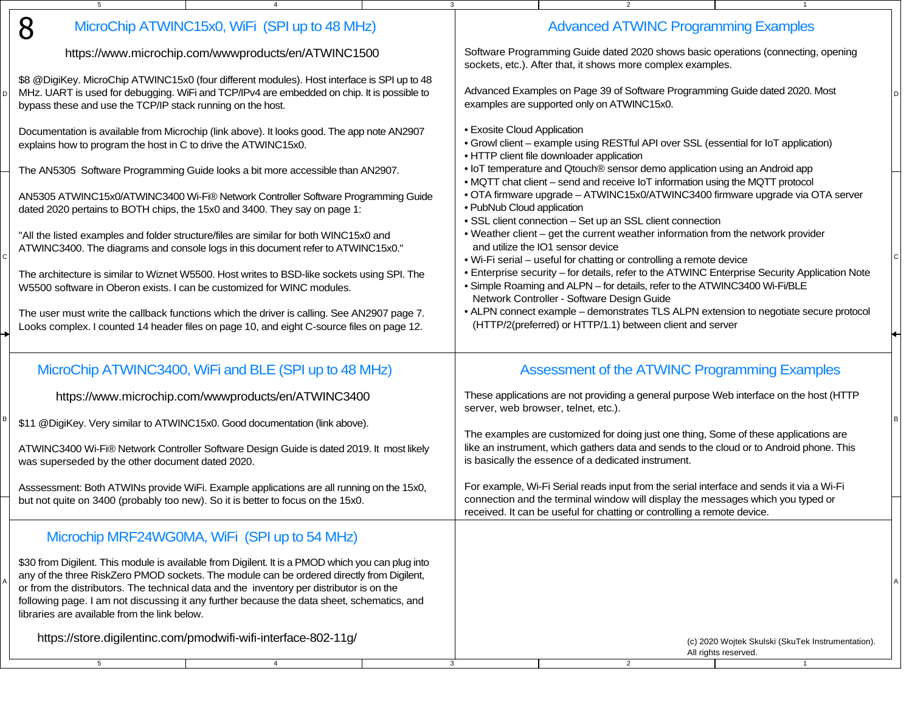| 8<br>MicroChip ATWINC15x0, WiFi (SPI up to 48 MHz)                                                                                                                                                                                                                                                                                                                                                                                      |                             | <b>Advanced ATWINC Programming Examples</b>                                                                                                                                                                                                            |                                                                           |  |
|-----------------------------------------------------------------------------------------------------------------------------------------------------------------------------------------------------------------------------------------------------------------------------------------------------------------------------------------------------------------------------------------------------------------------------------------|-----------------------------|--------------------------------------------------------------------------------------------------------------------------------------------------------------------------------------------------------------------------------------------------------|---------------------------------------------------------------------------|--|
| https://www.microchip.com/wwwproducts/en/ATWINC1500                                                                                                                                                                                                                                                                                                                                                                                     |                             | Software Programming Guide dated 2020 shows basic operations (connecting, opening<br>sockets, etc.). After that, it shows more complex examples.                                                                                                       |                                                                           |  |
| \$8 @DigiKey. MicroChip ATWINC15x0 (four different modules). Host interface is SPI up to 48<br>MHz. UART is used for debugging. WiFi and TCP/IPv4 are embedded on chip. It is possible to<br>bypass these and use the TCP/IP stack running on the host.                                                                                                                                                                                 |                             | Advanced Examples on Page 39 of Software Programming Guide dated 2020. Most<br>examples are supported only on ATWINC15x0.                                                                                                                              |                                                                           |  |
| Documentation is available from Microchip (link above). It looks good. The app note AN2907<br>explains how to program the host in C to drive the ATWINC15x0.                                                                                                                                                                                                                                                                            | • Exosite Cloud Application | • Growl client - example using RESTful API over SSL (essential for IoT application)<br>• HTTP client file downloader application                                                                                                                       |                                                                           |  |
| The AN5305 Software Programming Guide looks a bit more accessible than AN2907.                                                                                                                                                                                                                                                                                                                                                          |                             | • IoT temperature and Qtouch® sensor demo application using an Android app<br>• MQTT chat client - send and receive IoT information using the MQTT protocol                                                                                            |                                                                           |  |
| AN5305 ATWINC15x0/ATWINC3400 Wi-Fi® Network Controller Software Programming Guide<br>dated 2020 pertains to BOTH chips, the 15x0 and 3400. They say on page 1:                                                                                                                                                                                                                                                                          | · PubNub Cloud application  | • OTA firmware upgrade - ATWINC15x0/ATWINC3400 firmware upgrade via OTA server<br>• SSL client connection - Set up an SSL client connection                                                                                                            |                                                                           |  |
| "All the listed examples and folder structure/files are similar for both WINC15x0 and<br>ATWINC3400. The diagrams and console logs in this document refer to ATWINC15x0."                                                                                                                                                                                                                                                               |                             | . Weather client – get the current weather information from the network provider<br>and utilize the IO1 sensor device<br>. Wi-Fi serial - useful for chatting or controlling a remote device                                                           |                                                                           |  |
| The architecture is similar to Wiznet W5500. Host writes to BSD-like sockets using SPI. The<br>W5500 software in Oberon exists. I can be customized for WINC modules.                                                                                                                                                                                                                                                                   |                             | • Enterprise security - for details, refer to the ATWINC Enterprise Security Application Note<br>. Simple Roaming and ALPN - for details, refer to the ATWINC3400 Wi-Fi/BLE<br>Network Controller - Software Design Guide                              |                                                                           |  |
| The user must write the callback functions which the driver is calling. See AN2907 page 7.<br>Looks complex. I counted 14 header files on page 10, and eight C-source files on page 12.                                                                                                                                                                                                                                                 |                             | • ALPN connect example - demonstrates TLS ALPN extension to negotiate secure protocol<br>(HTTP/2(preferred) or HTTP/1.1) between client and server                                                                                                     |                                                                           |  |
| MicroChip ATWINC3400, WiFi and BLE (SPI up to 48 MHz)                                                                                                                                                                                                                                                                                                                                                                                   |                             | Assessment of the ATWINC Programming Examples                                                                                                                                                                                                          |                                                                           |  |
| https://www.microchip.com/wwwproducts/en/ATWINC3400                                                                                                                                                                                                                                                                                                                                                                                     |                             | These applications are not providing a general purpose Web interface on the host (HTTP<br>server, web browser, telnet, etc.).                                                                                                                          |                                                                           |  |
| \$11 @DigiKey. Very similar to ATWINC15x0. Good documentation (link above).                                                                                                                                                                                                                                                                                                                                                             |                             | The examples are customized for doing just one thing, Some of these applications are                                                                                                                                                                   |                                                                           |  |
| ATWINC3400 Wi-Fi® Network Controller Software Design Guide is dated 2019. It most likely<br>was superseded by the other document dated 2020.                                                                                                                                                                                                                                                                                            |                             | like an instrument, which gathers data and sends to the cloud or to Android phone. This<br>is basically the essence of a dedicated instrument.                                                                                                         |                                                                           |  |
| Asssessment: Both ATWINs provide WiFi. Example applications are all running on the 15x0,<br>but not quite on 3400 (probably too new). So it is better to focus on the 15x0.                                                                                                                                                                                                                                                             |                             | For example, Wi-Fi Serial reads input from the serial interface and sends it via a Wi-Fi<br>connection and the terminal window will display the messages which you typed or<br>received. It can be useful for chatting or controlling a remote device. |                                                                           |  |
| Microchip MRF24WG0MA, WiFi (SPI up to 54 MHz)                                                                                                                                                                                                                                                                                                                                                                                           |                             |                                                                                                                                                                                                                                                        |                                                                           |  |
| \$30 from Digilent. This module is available from Digilent. It is a PMOD which you can plug into<br>any of the three RiskZero PMOD sockets. The module can be ordered directly from Digilent,<br>or from the distributors. The technical data and the inventory per distributor is on the<br>following page. I am not discussing it any further because the data sheet, schematics, and<br>libraries are available from the link below. |                             |                                                                                                                                                                                                                                                        |                                                                           |  |
| https://store.digilentinc.com/pmodwifi-wifi-interface-802-11g/                                                                                                                                                                                                                                                                                                                                                                          |                             |                                                                                                                                                                                                                                                        | (c) 2020 Wojtek Skulski (SkuTek Instrumentation).<br>All rights reserved. |  |
| 5<br>$\overline{4}$                                                                                                                                                                                                                                                                                                                                                                                                                     | 3                           | $\overline{2}$                                                                                                                                                                                                                                         | $\mathbf{1}$                                                              |  |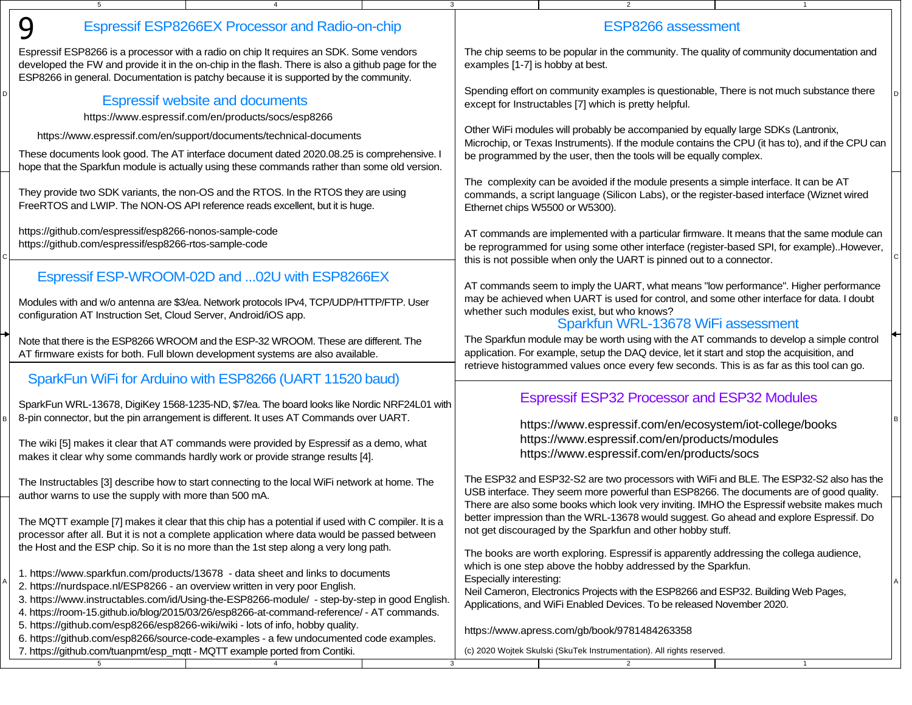| 9                                                                                                                                                                                                                                                                                   | Espressif ESP8266EX Processor and Radio-on-chip                                                                                                                                                                                                                                                                                                             |                                  |                                                                                           | <b>ESP8266</b> assessment                                                                                                                                                                                                                                                                                              |  |  |  |
|-------------------------------------------------------------------------------------------------------------------------------------------------------------------------------------------------------------------------------------------------------------------------------------|-------------------------------------------------------------------------------------------------------------------------------------------------------------------------------------------------------------------------------------------------------------------------------------------------------------------------------------------------------------|----------------------------------|-------------------------------------------------------------------------------------------|------------------------------------------------------------------------------------------------------------------------------------------------------------------------------------------------------------------------------------------------------------------------------------------------------------------------|--|--|--|
| Espressif ESP8266 is a processor with a radio on chip It requires an SDK. Some vendors<br>developed the FW and provide it in the on-chip in the flash. There is also a github page for the<br>ESP8266 in general. Documentation is patchy because it is supported by the community. |                                                                                                                                                                                                                                                                                                                                                             | examples [1-7] is hobby at best. | The chip seems to be popular in the community. The quality of community documentation and |                                                                                                                                                                                                                                                                                                                        |  |  |  |
| <b>Espressif website and documents</b><br>https://www.espressif.com/en/products/socs/esp8266                                                                                                                                                                                        | Spending effort on community examples is questionable, There is not much substance there<br>except for Instructables [7] which is pretty helpful.                                                                                                                                                                                                           |                                  |                                                                                           |                                                                                                                                                                                                                                                                                                                        |  |  |  |
|                                                                                                                                                                                                                                                                                     | https://www.espressif.com/en/support/documents/technical-documents<br>These documents look good. The AT interface document dated 2020.08.25 is comprehensive. I<br>hope that the Sparkfun module is actually using these commands rather than some old version.                                                                                             |                                  |                                                                                           | Other WiFi modules will probably be accompanied by equally large SDKs (Lantronix,<br>Microchip, or Texas Instruments). If the module contains the CPU (it has to), and if the CPU can<br>be programmed by the user, then the tools will be equally complex.                                                            |  |  |  |
|                                                                                                                                                                                                                                                                                     | They provide two SDK variants, the non-OS and the RTOS. In the RTOS they are using<br>FreeRTOS and LWIP. The NON-OS API reference reads excellent, but it is huge.                                                                                                                                                                                          |                                  |                                                                                           | The complexity can be avoided if the module presents a simple interface. It can be AT<br>commands, a script language (Silicon Labs), or the register-based interface (Wiznet wired<br>Ethernet chips W5500 or W5300).                                                                                                  |  |  |  |
| https://github.com/espressif/esp8266-nonos-sample-code<br>https://github.com/espressif/esp8266-rtos-sample-code                                                                                                                                                                     |                                                                                                                                                                                                                                                                                                                                                             |                                  |                                                                                           | AT commands are implemented with a particular firmware. It means that the same module can<br>be reprogrammed for using some other interface (register-based SPI, for example). However,<br>this is not possible when only the UART is pinned out to a connector.                                                       |  |  |  |
| configuration AT Instruction Set, Cloud Server, Android/iOS app.                                                                                                                                                                                                                    | Espressif ESP-WROOM-02D and 02U with ESP8266EX<br>Modules with and w/o antenna are \$3/ea. Network protocols IPv4, TCP/UDP/HTTP/FTP. User                                                                                                                                                                                                                   |                                  |                                                                                           | AT commands seem to imply the UART, what means "low performance". Higher performance<br>may be achieved when UART is used for control, and some other interface for data. I doubt<br>whether such modules exist, but who knows?<br>Sparkfun WRL-13678 WiFi assessment                                                  |  |  |  |
|                                                                                                                                                                                                                                                                                     | Note that there is the ESP8266 WROOM and the ESP-32 WROOM. These are different. The<br>AT firmware exists for both. Full blown development systems are also available.                                                                                                                                                                                      |                                  |                                                                                           | The Sparkfun module may be worth using with the AT commands to develop a simple control<br>application. For example, setup the DAQ device, let it start and stop the acquisition, and<br>retrieve histogrammed values once every few seconds. This is as far as this tool can go.                                      |  |  |  |
|                                                                                                                                                                                                                                                                                     | SparkFun WiFi for Arduino with ESP8266 (UART 11520 baud)<br>SparkFun WRL-13678, DigiKey 1568-1235-ND, \$7/ea. The board looks like Nordic NRF24L01 with<br>8-pin connector, but the pin arrangement is different. It uses AT Commands over UART.                                                                                                            |                                  |                                                                                           | <b>Espressif ESP32 Processor and ESP32 Modules</b>                                                                                                                                                                                                                                                                     |  |  |  |
|                                                                                                                                                                                                                                                                                     | The wiki [5] makes it clear that AT commands were provided by Espressif as a demo, what<br>makes it clear why some commands hardly work or provide strange results [4].                                                                                                                                                                                     |                                  |                                                                                           | https://www.espressif.com/en/ecosystem/iot-college/books<br>https://www.espressif.com/en/products/modules<br>https://www.espressif.com/en/products/socs                                                                                                                                                                |  |  |  |
| author warns to use the supply with more than 500 mA.                                                                                                                                                                                                                               | The Instructables [3] describe how to start connecting to the local WiFi network at home. The                                                                                                                                                                                                                                                               |                                  |                                                                                           | The ESP32 and ESP32-S2 are two processors with WiFi and BLE. The ESP32-S2 also has the<br>USB interface. They seem more powerful than ESP8266. The documents are of good quality.<br>There are also some books which look very inviting. IMHO the Espressif website makes much                                         |  |  |  |
|                                                                                                                                                                                                                                                                                     | The MQTT example [7] makes it clear that this chip has a potential if used with C compiler. It is a<br>processor after all. But it is not a complete application where data would be passed between<br>the Host and the ESP chip. So it is no more than the 1st step along a very long path.                                                                |                                  |                                                                                           | better impression than the WRL-13678 would suggest. Go ahead and explore Espressif. Do<br>not get discouraged by the Sparkfun and other hobby stuff.                                                                                                                                                                   |  |  |  |
|                                                                                                                                                                                                                                                                                     | 1. https://www.sparkfun.com/products/13678 - data sheet and links to documents<br>2. https://nurdspace.nl/ESP8266 - an overview written in very poor English.<br>3. https://www.instructables.com/id/Using-the-ESP8266-module/ - step-by-step in good English.<br>4. https://room-15.github.io/blog/2015/03/26/esp8266-at-command-reference/ - AT commands. |                                  | Especially interesting:                                                                   | The books are worth exploring. Espressif is apparently addressing the collega audience,<br>which is one step above the hobby addressed by the Sparkfun.<br>Neil Cameron, Electronics Projects with the ESP8266 and ESP32. Building Web Pages,<br>Applications, and WiFi Enabled Devices. To be released November 2020. |  |  |  |
| 7. https://github.com/tuanpmt/esp_mqtt - MQTT example ported from Contiki.<br>5 <sub>5</sub>                                                                                                                                                                                        | 5. https://github.com/esp8266/esp8266-wiki/wiki - lots of info, hobby quality.<br>6. https://github.com/esp8266/source-code-examples - a few undocumented code examples.                                                                                                                                                                                    | $\mathbf{3}$                     |                                                                                           | https://www.apress.com/gb/book/9781484263358<br>(c) 2020 Wojtek Skulski (SkuTek Instrumentation). All rights reserved.<br>$\overline{2}$                                                                                                                                                                               |  |  |  |
|                                                                                                                                                                                                                                                                                     |                                                                                                                                                                                                                                                                                                                                                             |                                  |                                                                                           |                                                                                                                                                                                                                                                                                                                        |  |  |  |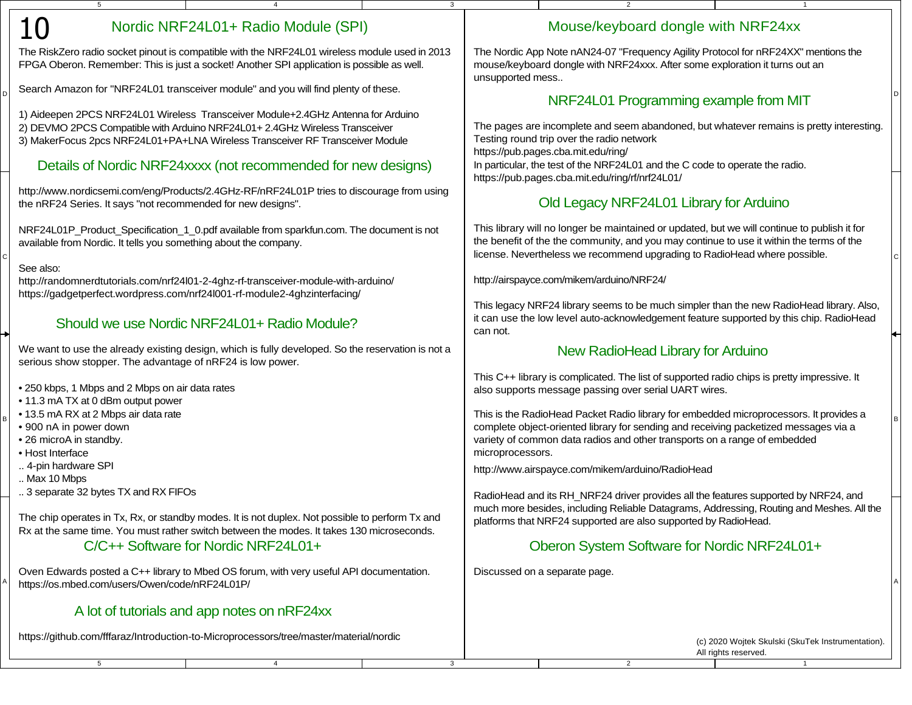# 10

D

C

B

A

5

## Nordic NRF24L01+ Radio Module (SPI)

4

The RiskZero radio socket pinout is compatible with the NRF24L01 wireless module used in 2013FPGA Oberon. Remember: This is just a socket! Another SPI application is possible as well.

Search Amazon for "NRF24L01 transceiver module" and you will find plenty of these.

1) Aideepen 2PCS NRF24L01 Wireless Transceiver Module+2.4GHz Antenna for Arduino

2) DEVMO 2PCS Compatible with Arduino NRF24L01+ 2.4GHz Wireless Transceiver

3) MakerFocus 2pcs NRF24L01+PA+LNA Wireless Transceiver RF Transceiver Module

#### Details of Nordic NRF24xxxx (not recommended for new designs)

http://www.nordicsemi.com/eng/Products/2.4GHz-RF/nRF24L01P tries to discourage from usingthe nRF24 Series. It says "not recommended for new designs".

NRF24L01P\_Product\_Specification\_1\_0.pdf available from sparkfun.com. The document is notavailable from Nordic. It tells you something about the company.

#### See also:

 http://randomnerdtutorials.com/nrf24l01-2-4ghz-rf-transceiver-module-with-arduino/https://gadgetperfect.wordpress.com/nrf24l001-rf-module2-4ghzinterfacing/

## Should we use Nordic NRF24L01+ Radio Module?

We want to use the already existing design, which is fully developed. So the reservation is not aserious show stopper. The advantage of nRF24 is low power.

• 250 kbps, 1 Mbps and 2 Mbps on air data rates

• 11.3 mA TX at 0 dBm output power

- 13.5 mA RX at 2 Mbps air data rate
- 900 nA in power down
- 26 microA in standby.

• Host Interface

.. 4-pin hardware SPI

.. Max 10 Mbps

.. 3 separate 32 bytes TX and RX FIFOs

5

The chip operates in Tx, Rx, or standby modes. It is not duplex. Not possible to perform Tx andRx at the same time. You must rather switch between the modes. It takes 130 microseconds.

## C/C++ Software for Nordic NRF24L01+

 <sup>A</sup> https://os.mbed.com/users/Owen/code/nRF24L01P/Oven Edwards posted a C++ library to Mbed OS forum, with very useful API documentation.

4

## A lot of tutorials and app notes on nRF24xx

https://github.com/fffaraz/Introduction-to-Microprocessors/tree/master/material/nordic

## Mouse/keyboard dongle with NRF24xx

1

2

The Nordic App Note nAN24-07 "Frequency Agility Protocol for nRF24XX" mentions themouse/keyboard dongle with NRF24xxx. After some exploration it turns out anunsupported mess..

## **D Example from MIT**  $\bigcap$  **NRF24L01 Programming example from MIT**

The pages are incomplete and seem abandoned, but whatever remains is pretty interesting.Testing round trip over the radio networkhttps://pub.pages.cba.mit.edu/ring/ In particular, the test of the NRF24L01 and the C code to operate the radio.https://pub.pages.cba.mit.edu/ring/rf/nrf24L01/

# Old Legacy NRF24L01 Library for Arduino

 <sup>C</sup> license. Nevertheless we recommend upgrading to RadioHead where possible.This library will no longer be maintained or updated, but we will continue to publish it forthe benefit of the the community, and you may continue to use it within the terms of the

http://airspayce.com/mikem/arduino/NRF24/

3

This legacy NRF24 library seems to be much simpler than the new RadioHead library. Also, it can use the low level auto-acknowledgement feature supported by this chip. RadioHeadcan not.

#### New RadioHead Library for Arduino

This C++ library is complicated. The list of supported radio chips is pretty impressive. Italso supports message passing over serial UART wires.

B
complete object-oriented library for sending and receiving packetized messages via a
B
complete object-oriented library for sending and receiving packetized messages via a
B
complete object-oriented library for sending a This is the RadioHead Packet Radio library for embedded microprocessors. It provides avariety of common data radios and other transports on a range of embeddedmicroprocessors.

http://www.airspayce.com/mikem/arduino/RadioHead

RadioHead and its RH\_NRF24 driver provides all the features supported by NRF24, and much more besides, including Reliable Datagrams, Addressing, Routing and Meshes. All theplatforms that NRF24 supported are also supported by RadioHead.

## Oberon System Software for Nordic NRF24L01+

2

Discussed on a separate page.

3

(c) 2020 Wojtek Skulski (SkuTek Instrumentation).All rights reserved.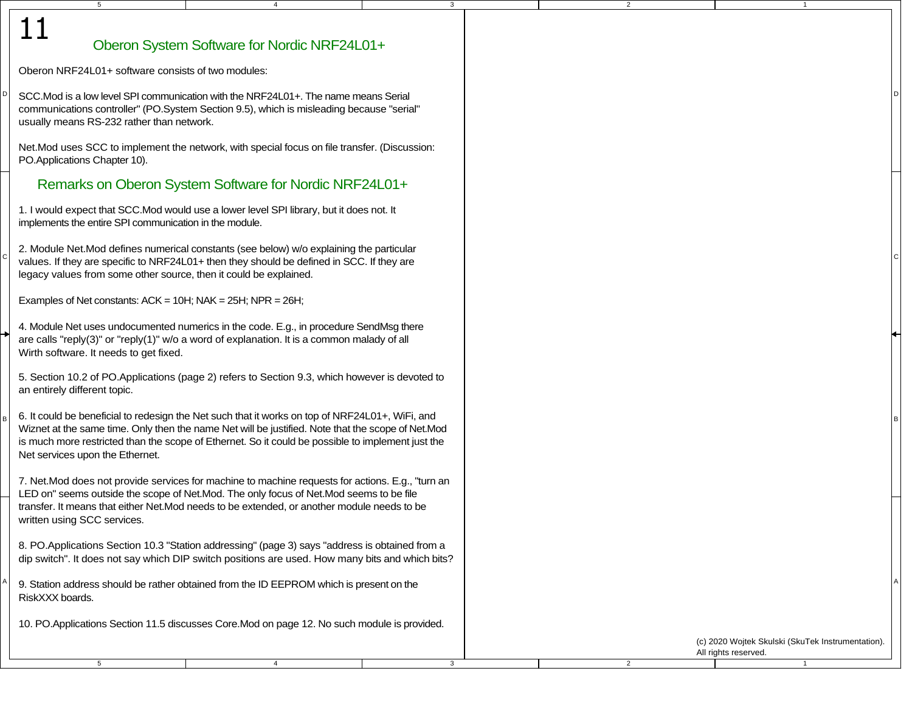| Oberon System Software for Nordic NRF24L01+ |  |  |
|---------------------------------------------|--|--|
|                                             |  |  |

4

3

2

2

3

Oberon NRF24L01+ software consists of two modules:

5

D

11

C

B

A

<sup>D</sup> $\vert$  SCC.Mod is a low level SPI communication with the NRF24L01+. The name means Serial  $\vert$ <sup>D</sup> communications controller" (PO.System Section 9.5), which is misleading because "serial"usually means RS-232 rather than network.

Net.Mod uses SCC to implement the network, with special focus on file transfer. (Discussion:PO.Applications Chapter 10).

#### Remarks on Oberon System Software for Nordic NRF24L01+

1. I would expect that SCC.Mod would use a lower level SPI library, but it does not. Itimplements the entire SPI communication in the module.

 <sup>C</sup> values. If they are specific to NRF24L01+ then they should be defined in SCC. If they are2. Module Net.Mod defines numerical constants (see below) w/o explaining the particularlegacy values from some other source, then it could be explained.

Examples of Net constants:  $ACK = 10H$ ;  $NAK = 25H$ ;  $NPR = 26H$ ;

```
4. Module Net uses undocumented numerics in the code. E.g., in procedure SendMsg thereare calls "reply(3)" or "reply(1)" w/o a word of explanation. It is a common malady of allWirth software. It needs to get fixed.
```
5. Section 10.2 of PO.Applications (page 2) refers to Section 9.3, which however is devoted toan entirely different topic.

 $B \left[ 6.$  It could be beneficial to redesign the Net such that it works on top of NRF24L01+, WiFi, and  $B$  Wiznet at the same time. Only then the name Net will be justified. Note that the scope of Net.Mod is much more restricted than the scope of Ethernet. So it could be possible to implement just theNet services upon the Ethernet.

7. Net.Mod does not provide services for machine to machine requests for actions. E.g., "turn anLED on" seems outside the scope of Net.Mod. The only focus of Net.Mod seems to be file transfer. It means that either Net.Mod needs to be extended, or another module needs to bewritten using SCC services.

8. PO.Applications Section 10.3 "Station addressing" (page 3) says "address is obtained from adip switch". It does not say which DIP switch positions are used. How many bits and which bits?

 $^{\mathsf{A}}$  9. Station address should be rather obtained from the ID EEPROM which is present on the  $^{\mathsf{A}}$ RiskXXX boards.

5

10. PO.Applications Section 11.5 discusses Core.Mod on page 12. No such module is provided.

4

(c) 2020 Wojtek Skulski (SkuTek Instrumentation).All rights reserved.

1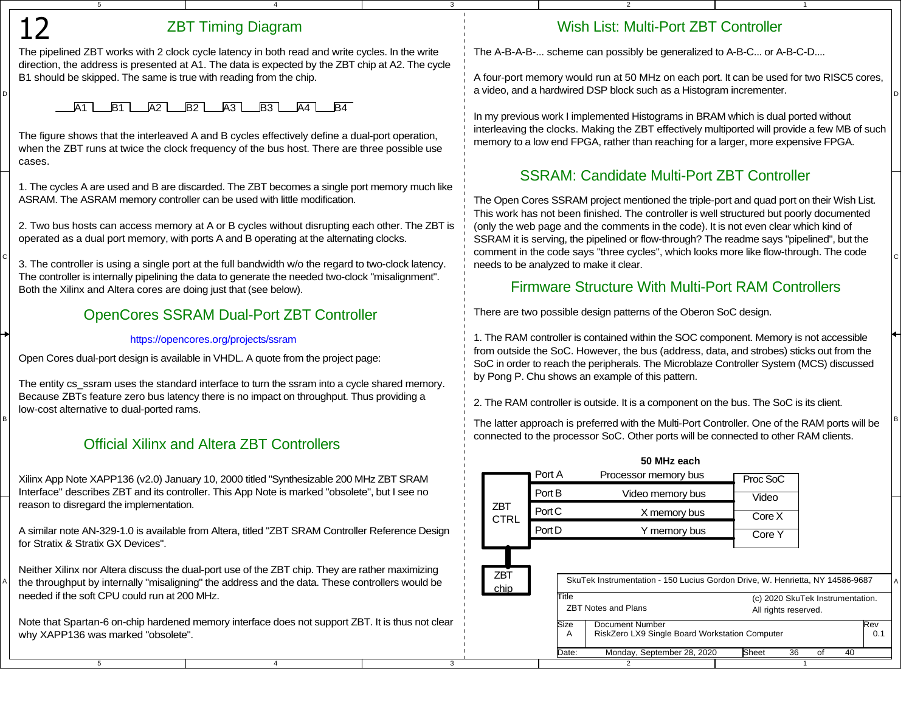## ZBT Timing Diagram

4

3

3

The pipelined ZBT works with 2 clock cycle latency in both read and write cycles. In the write direction, the address is presented at A1. The data is expected by the ZBT chip at A2. The cycleB1 should be skipped. The same is true with reading from the chip.

## A1 **LB1 LA2 LB2 LA3 LB3 LA4 LB4**

5

D

12

C

B

A

5

The figure shows that the interleaved A and B cycles effectively define a dual-port operation, when the ZBT runs at twice the clock frequency of the bus host. There are three possible usecases.

1. The cycles A are used and B are discarded. The ZBT becomes a single port memory much likeASRAM. The ASRAM memory controller can be used with little modification.

2. Two bus hosts can access memory at A or B cycles without disrupting each other. The ZBT isoperated as a dual port memory, with ports A and B operating at the alternating clocks.

The controller is internally pipelining the data to generate the needed two-clock "misalignment".Both the Xilinx and Altera cores are doing just that (see below).

## OpenCores SSRAM Dual-Port ZBT Controller

#### https://opencores.org/projects/ssram

Open Cores dual-port design is available in VHDL. A quote from the project page:

The entity cs\_ssram uses the standard interface to turn the ssram into a cycle shared memory. Because ZBTs feature zero bus latency there is no impact on throughput. Thus providing alow-cost alternative to dual-ported rams.

## Official Xilinx and Altera ZBT Controllers

Xilinx App Note XAPP136 (v2.0) January 10, 2000 titled "Synthesizable 200 MHz ZBT SRAM Interface" describes ZBT and its controller. This App Note is marked "obsolete", but I see noreason to disregard the implementation.

A similar note AN-329-1.0 is available from Altera, titled "ZBT SRAM Controller Reference Designfor Stratix & Stratix GX Devices".

Neither Xilinx nor Altera discuss the dual-port use of the ZBT chip. They are rather maximizingneeded if the soft CPU could run at 200 MHz.

Note that Spartan-6 on-chip hardened memory interface does not support ZBT. It is thus not clearwhy XAPP136 was marked "obsolete".

4

# Wish List: Multi-Port ZBT Controller

The A-B-A-B-... scheme can possibly be generalized to A-B-C... or A-B-C-D....

2

 $\frac{1}{\sqrt{2}}$  a video, and a hardwired DSP block such as a Histogram incrementer. A four-port memory would run at 50 MHz on each port. It can be used for two RISC5 cores,

1

In my previous work I implemented Histograms in BRAM which is dual ported without interleaving the clocks. Making the ZBT effectively multiported will provide a few MB of suchmemory to a low end FPGA, rather than reaching for a larger, more expensive FPGA.

# SSRAM: Candidate Multi-Port ZBT Controller

 $\degree$  3. The controller is using a single port at the full bandwidth w/o the regard to two-clock latency.  $\Box$  needs to be analyzed to make it clear. The Open Cores SSRAM project mentioned the triple-port and quad port on their Wish List.This work has not been finished. The controller is well structured but poorly documented(only the web page and the comments in the code). It is not even clear which kind ofSSRAM it is serving, the pipelined or flow-through? The readme says "pipelined", but the comment in the code says "three cycles", which looks more like flow-through. The codeneeds to be analyzed to make it clear.

## Firmware Structure With Multi-Port RAM Controllers

There are two possible design patterns of the Oberon SoC design.

1. The RAM controller is contained within the SOC component. Memory is not accessible from outside the SoC. However, the bus (address, data, and strobes) sticks out from the SoC in order to reach the peripherals. The Microblaze Controller System (MCS) discussedby Pong P. Chu shows an example of this pattern.

2. The RAM controller is outside. It is a component on the bus. The SoC is its client.

 $^{\mathsf{B}}$  The latter approach is preferred with the Multi-Port Controller. One of the RAM ports will be  $~\mathsf{\,}^{\mathsf{B}}$ connected to the processor SoC. Other ports will be connected to other RAM clients.

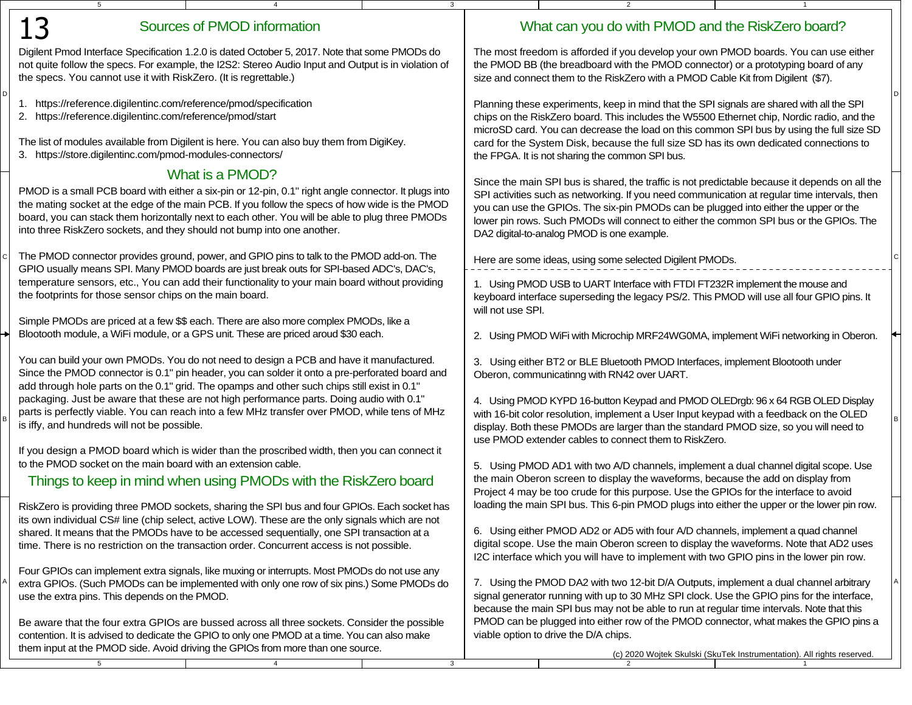| 5 <sub>5</sub>                                                                                                                                                                                       | $\overline{4}$                                                                                                                                                                                         | $\mathbf{3}$ |                                                                                                                                                                            | 2                                                                                                                                                                                      | $\mathbf{1}$                                                           |  |
|------------------------------------------------------------------------------------------------------------------------------------------------------------------------------------------------------|--------------------------------------------------------------------------------------------------------------------------------------------------------------------------------------------------------|--------------|----------------------------------------------------------------------------------------------------------------------------------------------------------------------------|----------------------------------------------------------------------------------------------------------------------------------------------------------------------------------------|------------------------------------------------------------------------|--|
| 13                                                                                                                                                                                                   | Sources of PMOD information                                                                                                                                                                            |              |                                                                                                                                                                            | What can you do with PMOD and the RiskZero board?                                                                                                                                      |                                                                        |  |
| Digilent Pmod Interface Specification 1.2.0 is dated October 5, 2017. Note that some PMODs do<br>not quite follow the specs. For example, the I2S2: Stereo Audio Input and Output is in violation of |                                                                                                                                                                                                        |              | The most freedom is afforded if you develop your own PMOD boards. You can use either<br>the PMOD BB (the breadboard with the PMOD connector) or a prototyping board of any |                                                                                                                                                                                        |                                                                        |  |
| the specs. You cannot use it with RiskZero. (It is regrettable.)                                                                                                                                     |                                                                                                                                                                                                        |              |                                                                                                                                                                            | size and connect them to the RiskZero with a PMOD Cable Kit from Digilent (\$7).                                                                                                       |                                                                        |  |
| 1. https://reference.digilentinc.com/reference/pmod/specification<br>2. https://reference.digilentinc.com/reference/pmod/start                                                                       |                                                                                                                                                                                                        |              |                                                                                                                                                                            | Planning these experiments, keep in mind that the SPI signals are shared with all the SPI<br>chips on the RiskZero board. This includes the W5500 Ethernet chip, Nordic radio, and the |                                                                        |  |
|                                                                                                                                                                                                      |                                                                                                                                                                                                        |              |                                                                                                                                                                            | microSD card. You can decrease the load on this common SPI bus by using the full size SD                                                                                               |                                                                        |  |
| 3. https://store.digilentinc.com/pmod-modules-connectors/                                                                                                                                            | The list of modules available from Digilent is here. You can also buy them from DigiKey.                                                                                                               |              |                                                                                                                                                                            | card for the System Disk, because the full size SD has its own dedicated connections to<br>the FPGA. It is not sharing the common SPI bus.                                             |                                                                        |  |
|                                                                                                                                                                                                      | What is a PMOD?                                                                                                                                                                                        |              |                                                                                                                                                                            | Since the main SPI bus is shared, the traffic is not predictable because it depends on all the                                                                                         |                                                                        |  |
|                                                                                                                                                                                                      | PMOD is a small PCB board with either a six-pin or 12-pin, 0.1" right angle connector. It plugs into<br>the mating socket at the edge of the main PCB. If you follow the specs of how wide is the PMOD |              |                                                                                                                                                                            | SPI activities such as networking. If you need communication at regular time intervals, then<br>you can use the GPIOs. The six-pin PMODs can be plugged into either the upper or the   |                                                                        |  |
| into three RiskZero sockets, and they should not bump into one another.                                                                                                                              | board, you can stack them horizontally next to each other. You will be able to plug three PMODs                                                                                                        |              |                                                                                                                                                                            | lower pin rows. Such PMODs will connect to either the common SPI bus or the GPIOs. The<br>DA2 digital-to-analog PMOD is one example.                                                   |                                                                        |  |
|                                                                                                                                                                                                      | The PMOD connector provides ground, power, and GPIO pins to talk to the PMOD add-on. The                                                                                                               |              |                                                                                                                                                                            | Here are some ideas, using some selected Digilent PMODs.                                                                                                                               |                                                                        |  |
|                                                                                                                                                                                                      | GPIO usually means SPI. Many PMOD boards are just break outs for SPI-based ADC's, DAC's,<br>temperature sensors, etc., You can add their functionality to your main board without providing            |              |                                                                                                                                                                            | 1. Using PMOD USB to UART Interface with FTDI FT232R implement the mouse and                                                                                                           |                                                                        |  |
| the footprints for those sensor chips on the main board.                                                                                                                                             |                                                                                                                                                                                                        |              | will not use SPI.                                                                                                                                                          | keyboard interface superseding the legacy PS/2. This PMOD will use all four GPIO pins. It                                                                                              |                                                                        |  |
|                                                                                                                                                                                                      | Simple PMODs are priced at a few \$\$ each. There are also more complex PMODs, like a<br>Blootooth module, a WiFi module, or a GPS unit. These are priced aroud \$30 each.                             |              |                                                                                                                                                                            | 2. Using PMOD WiFi with Microchip MRF24WG0MA, implement WiFi networking in Oberon.                                                                                                     |                                                                        |  |
|                                                                                                                                                                                                      | You can build your own PMODs. You do not need to design a PCB and have it manufactured.                                                                                                                |              |                                                                                                                                                                            | 3. Using either BT2 or BLE Bluetooth PMOD Interfaces, implement Blootooth under                                                                                                        |                                                                        |  |
|                                                                                                                                                                                                      | Since the PMOD connector is 0.1" pin header, you can solder it onto a pre-perforated board and<br>add through hole parts on the 0.1" grid. The opamps and other such chips still exist in 0.1"         |              |                                                                                                                                                                            | Oberon, communicatinng with RN42 over UART.                                                                                                                                            |                                                                        |  |
|                                                                                                                                                                                                      | packaging. Just be aware that these are not high performance parts. Doing audio with 0.1"                                                                                                              |              |                                                                                                                                                                            | 4. Using PMOD KYPD 16-button Keypad and PMOD OLEDrgb: 96 x 64 RGB OLED Display                                                                                                         |                                                                        |  |
| is iffy, and hundreds will not be possible.                                                                                                                                                          | parts is perfectly viable. You can reach into a few MHz transfer over PMOD, while tens of MHz                                                                                                          |              |                                                                                                                                                                            | with 16-bit color resolution, implement a User Input keypad with a feedback on the OLED<br>display. Both these PMODs are larger than the standard PMOD size, so you will need to       |                                                                        |  |
|                                                                                                                                                                                                      | If you design a PMOD board which is wider than the proscribed width, then you can connect it                                                                                                           |              |                                                                                                                                                                            | use PMOD extender cables to connect them to RiskZero.                                                                                                                                  |                                                                        |  |
| to the PMOD socket on the main board with an extension cable.                                                                                                                                        | Things to keep in mind when using PMODs with the RiskZero board                                                                                                                                        |              |                                                                                                                                                                            | 5. Using PMOD AD1 with two A/D channels, implement a dual channel digital scope. Use<br>the main Oberon screen to display the waveforms, because the add on display from               |                                                                        |  |
|                                                                                                                                                                                                      |                                                                                                                                                                                                        |              |                                                                                                                                                                            | Project 4 may be too crude for this purpose. Use the GPIOs for the interface to avoid<br>loading the main SPI bus. This 6-pin PMOD plugs into either the upper or the lower pin row.   |                                                                        |  |
|                                                                                                                                                                                                      | RiskZero is providing three PMOD sockets, sharing the SPI bus and four GPIOs. Each socket has<br>its own individual CS# line (chip select, active LOW). These are the only signals which are not       |              |                                                                                                                                                                            |                                                                                                                                                                                        |                                                                        |  |
|                                                                                                                                                                                                      | shared. It means that the PMODs have to be accessed sequentially, one SPI transaction at a<br>time. There is no restriction on the transaction order. Concurrent access is not possible.               |              |                                                                                                                                                                            | 6. Using either PMOD AD2 or AD5 with four A/D channels, implement a quad channel<br>digital scope. Use the main Oberon screen to display the waveforms. Note that AD2 uses             |                                                                        |  |
|                                                                                                                                                                                                      | Four GPIOs can implement extra signals, like muxing or interrupts. Most PMODs do not use any                                                                                                           |              |                                                                                                                                                                            | I2C interface which you will have to implement with two GPIO pins in the lower pin row.                                                                                                |                                                                        |  |
| use the extra pins. This depends on the PMOD.                                                                                                                                                        | extra GPIOs. (Such PMODs can be implemented with only one row of six pins.) Some PMODs do                                                                                                              |              |                                                                                                                                                                            | 7. Using the PMOD DA2 with two 12-bit D/A Outputs, implement a dual channel arbitrary<br>signal generator running with up to 30 MHz SPI clock. Use the GPIO pins for the interface,    |                                                                        |  |
|                                                                                                                                                                                                      |                                                                                                                                                                                                        |              |                                                                                                                                                                            | because the main SPI bus may not be able to run at regular time intervals. Note that this                                                                                              |                                                                        |  |
|                                                                                                                                                                                                      | Be aware that the four extra GPIOs are bussed across all three sockets. Consider the possible<br>contention. It is advised to dedicate the GPIO to only one PMOD at a time. You can also make          |              |                                                                                                                                                                            | PMOD can be plugged into either row of the PMOD connector, what makes the GPIO pins a<br>viable option to drive the D/A chips.                                                         |                                                                        |  |
| 5                                                                                                                                                                                                    | them input at the PMOD side. Avoid driving the GPIOs from more than one source.<br>$\overline{4}$                                                                                                      |              |                                                                                                                                                                            |                                                                                                                                                                                        | (c) 2020 Wojtek Skulski (SkuTek Instrumentation). All rights reserved. |  |
|                                                                                                                                                                                                      |                                                                                                                                                                                                        | 3            |                                                                                                                                                                            |                                                                                                                                                                                        |                                                                        |  |